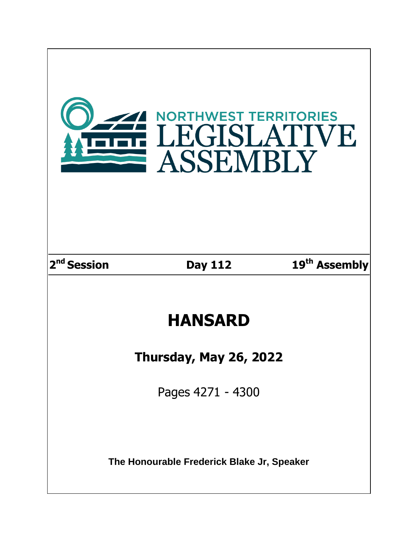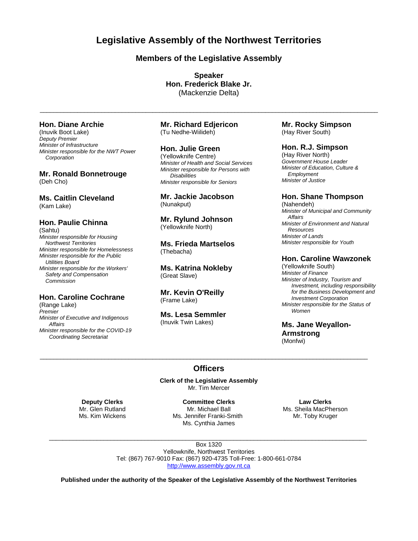**Legislative Assembly of the Northwest Territories**

# **Members of the Legislative Assembly**

**Speaker Hon. Frederick Blake Jr.** (Mackenzie Delta)

 $\bot$  , and the state of the state of the state of the state of the state of the state of the state of the state of the state of the state of the state of the state of the state of the state of the state of the state of th

# **Hon. Diane Archie**

(Inuvik Boot Lake) *Deputy Premier Minister of Infrastructure Minister responsible for the NWT Power Corporation*

## **Mr. Ronald Bonnetrouge** (Deh Cho)

**Ms. Caitlin Cleveland** (Kam Lake)

# **Hon. Paulie Chinna**

(Sahtu) *Minister responsible for Housing Northwest Territories Minister responsible for Homelessness Minister responsible for the Public Utilities Board Minister responsible for the Workers' Safety and Compensation Commission*

# **Hon. Caroline Cochrane**

(Range Lake) *Premier Minister of Executive and Indigenous Affairs Minister responsible for the COVID-19 Coordinating Secretariat*

## **Mr. Richard Edjericon** (Tu Nedhe-Wiilideh)

## **Hon. Julie Green**

(Yellowknife Centre) *Minister of Health and Social Services Minister responsible for Persons with Disabilities Minister responsible for Seniors*

**Mr. Jackie Jacobson** (Nunakput)

## **Mr. Rylund Johnson** (Yellowknife North)

**Ms. Frieda Martselos** (Thebacha)

**Ms. Katrina Nokleby** (Great Slave)

## **Mr. Kevin O'Reilly** (Frame Lake)

**Ms. Lesa Semmler** (Inuvik Twin Lakes)

**Mr. Rocky Simpson** (Hay River South)

## **Hon. R.J. Simpson**

(Hay River North) *Government House Leader Minister of Education, Culture & Employment Minister of Justice*

## **Hon. Shane Thompson**

(Nahendeh) *Minister of Municipal and Community Affairs Minister of Environment and Natural Resources Minister of Lands Minister responsible for Youth*

# **Hon. Caroline Wawzonek**

(Yellowknife South) *Minister of Finance Minister of Industry, Tourism and Investment, including responsibility for the Business Development and Investment Corporation Minister responsible for the Status of Women*

**Ms. Jane Weyallon-Armstrong** (Monfwi)

# **Officers**

 $\bot$  , and the contribution of the contribution of the contribution of the contribution of the contribution of the contribution of the contribution of the contribution of the contribution of the contribution of the contri

**Clerk of the Legislative Assembly** Mr. Tim Mercer

**Deputy Clerks** Mr. Glen Rutland Ms. Kim Wickens

**Committee Clerks** Mr. Michael Ball Ms. Jennifer Franki-Smith Ms. Cynthia James

**Law Clerks** Ms. Sheila MacPherson Mr. Toby Kruger

Box 1320 Yellowknife, Northwest Territories Tel: (867) 767-9010 Fax: (867) 920-4735 Toll-Free: 1-800-661-0784 [http://www.assembly.gov.nt.ca](http://www.assembly.gov.nt.ca/)

 $\mathcal{L}_\mathcal{L} = \{ \mathcal{L}_\mathcal{L} = \{ \mathcal{L}_\mathcal{L} = \{ \mathcal{L}_\mathcal{L} = \{ \mathcal{L}_\mathcal{L} = \{ \mathcal{L}_\mathcal{L} = \{ \mathcal{L}_\mathcal{L} = \{ \mathcal{L}_\mathcal{L} = \{ \mathcal{L}_\mathcal{L} = \{ \mathcal{L}_\mathcal{L} = \{ \mathcal{L}_\mathcal{L} = \{ \mathcal{L}_\mathcal{L} = \{ \mathcal{L}_\mathcal{L} = \{ \mathcal{L}_\mathcal{L} = \{ \mathcal{L}_\mathcal{$ 

**Published under the authority of the Speaker of the Legislative Assembly of the Northwest Territories**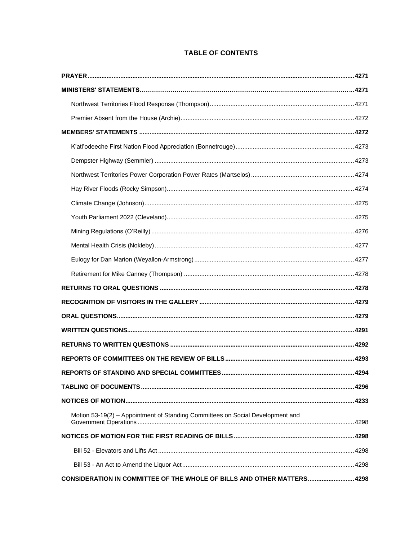# **TABLE OF CONTENTS**

| Motion 53-19(2) - Appointment of Standing Committees on Social Development and |  |
|--------------------------------------------------------------------------------|--|
|                                                                                |  |
|                                                                                |  |
|                                                                                |  |
| CONSIDERATION IN COMMITTEE OF THE WHOLE OF BILLS AND OTHER MATTERS 4298        |  |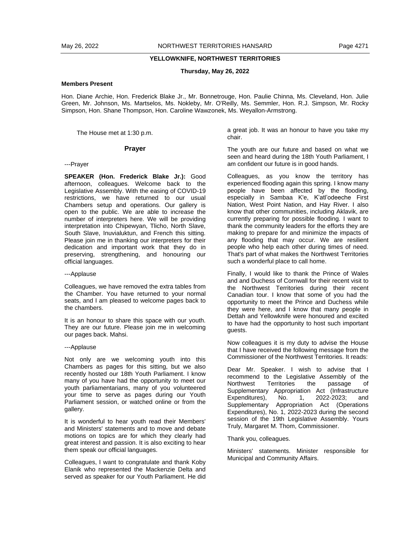#### **YELLOWKNIFE, NORTHWEST TERRITORIES**

#### **Thursday, May 26, 2022**

## **Members Present**

Hon. Diane Archie, Hon. Frederick Blake Jr., Mr. Bonnetrouge, Hon. Paulie Chinna, Ms. Cleveland, Hon. Julie Green, Mr. Johnson, Ms. Martselos, Ms. Nokleby, Mr. O'Reilly, Ms. Semmler, Hon. R.J. Simpson, Mr. Rocky Simpson, Hon. Shane Thompson, Hon. Caroline Wawzonek, Ms. Weyallon-Armstrong.

The House met at 1:30 p.m.

#### **Prayer**

---Prayer

**SPEAKER (Hon. Frederick Blake Jr.):** Good afternoon, colleagues. Welcome back to the Legislative Assembly. With the easing of COVID-19 restrictions, we have returned to our usual Chambers setup and operations. Our gallery is open to the public. We are able to increase the number of interpreters here. We will be providing interpretation into Chipewyan, Tlicho, North Slave, South Slave, Inuvialuktun, and French this sitting. Please join me in thanking our interpreters for their dedication and important work that they do in preserving, strengthening, and honouring our official languages.

#### ---Applause

Colleagues, we have removed the extra tables from the Chamber. You have returned to your normal seats, and I am pleased to welcome pages back to the chambers.

It is an honour to share this space with our youth. They are our future. Please join me in welcoming our pages back. Mahsi.

#### ---Applause

Not only are we welcoming youth into this Chambers as pages for this sitting, but we also recently hosted our 18th Youth Parliament. I know many of you have had the opportunity to meet our youth parliamentarians, many of you volunteered your time to serve as pages during our Youth Parliament session, or watched online or from the gallery.

It is wonderful to hear youth read their Members' and Ministers' statements and to move and debate motions on topics are for which they clearly had great interest and passion. It is also exciting to hear them speak our official languages.

Colleagues, I want to congratulate and thank Koby Elanik who represented the Mackenzie Delta and served as speaker for our Youth Parliament. He did

a great job. It was an honour to have you take my chair.

The youth are our future and based on what we seen and heard during the 18th Youth Parliament, I am confident our future is in good hands.

Colleagues, as you know the territory has experienced flooding again this spring. I know many people have been affected by the flooding, especially in Sambaa K'e, K'atl'odeeche First Nation, West Point Nation, and Hay River. I also know that other communities, including Aklavik, are currently preparing for possible flooding. I want to thank the community leaders for the efforts they are making to prepare for and minimize the impacts of any flooding that may occur. We are resilient people who help each other during times of need. That's part of what makes the Northwest Territories such a wonderful place to call home.

Finally, I would like to thank the Prince of Wales and and Duchess of Cornwall for their recent visit to the Northwest Territories during their recent Canadian tour. I know that some of you had the opportunity to meet the Prince and Duchess while they were here, and I know that many people in Dettah and Yellowknife were honoured and excited to have had the opportunity to host such important guests.

Now colleagues it is my duty to advise the House that I have received the following message from the Commissioner of the Northwest Territories. It reads:

Dear Mr. Speaker. I wish to advise that I recommend to the Legislative Assembly of the Northwest Territories the passage of Supplementary Appropriation Act (Infrastructure Expenditures), No. 1, 2022-2023; and Supplementary Appropriation Act (Operations Expenditures), No. 1, 2022-2023 during the second session of the 19th Legislative Assembly. Yours Truly, Margaret M. Thom, Commissioner.

#### Thank you, colleagues.

Ministers' statements. Minister responsible for Municipal and Community Affairs.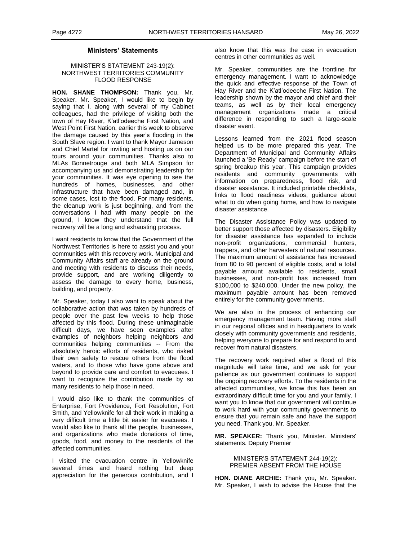## **Ministers' Statements**

#### MINISTER'S STATEMENT 243-19(2): NORTHWEST TERRITORIES COMMUNITY FLOOD RESPONSE

**HON. SHANE THOMPSON:** Thank you, Mr. Speaker. Mr. Speaker, I would like to begin by saying that I, along with several of my Cabinet colleagues, had the privilege of visiting both the town of Hay River, K'atl'odeeche First Nation, and West Point First Nation, earlier this week to observe the damage caused by this year's flooding in the South Slave region. I want to thank Mayor Jameson and Chief Martel for inviting and hosting us on our tours around your communities. Thanks also to MLAs Bonnetrouge and both MLA Simpson for accompanying us and demonstrating leadership for your communities. It was eye opening to see the hundreds of homes, businesses, and other infrastructure that have been damaged and, in some cases, lost to the flood. For many residents, the cleanup work is just beginning, and from the conversations I had with many people on the ground, I know they understand that the full recovery will be a long and exhausting process.

I want residents to know that the Government of the Northwest Territories is here to assist you and your communities with this recovery work. Municipal and Community Affairs staff are already on the ground and meeting with residents to discuss their needs, provide support, and are working diligently to assess the damage to every home, business, building, and property.

Mr. Speaker, today I also want to speak about the collaborative action that was taken by hundreds of people over the past few weeks to help those affected by this flood. During these unimaginable difficult days, we have seen examples after examples of neighbors helping neighbors and communities helping communities -- From the absolutely heroic efforts of residents, who risked their own safety to rescue others from the flood waters, and to those who have gone above and beyond to provide care and comfort to evacuees. I want to recognize the contribution made by so many residents to help those in need.

I would also like to thank the communities of Enterprise, Fort Providence, Fort Resolution, Fort Smith, and Yellowknife for all their work in making a very difficult time a little bit easier for evacuees. I would also like to thank all the people, businesses, and organizations who made donations of time, goods, food, and money to the residents of the affected communities.

I visited the evacuation centre in Yellowknife several times and heard nothing but deep appreciation for the generous contribution, and I also know that this was the case in evacuation centres in other communities as well.

Mr. Speaker, communities are the frontline for emergency management. I want to acknowledge the quick and effective response of the Town of Hay River and the K'atl'odeeche First Nation. The leadership shown by the mayor and chief and their teams, as well as by their local emergency management organizations made a critical difference in responding to such a large-scale disaster event.

Lessons learned from the 2021 flood season helped us to be more prepared this year. The Department of Municipal and Community Affairs launched a 'Be Ready' campaign before the start of spring breakup this year. This campaign provides residents and community governments with information on preparedness, flood risk, and disaster assistance. It included printable checklists, links to flood readiness videos, guidance about what to do when going home, and how to navigate disaster assistance.

The Disaster Assistance Policy was updated to better support those affected by disasters. Eligibility for disaster assistance has expanded to include non-profit organizations, commercial hunters, trappers, and other harvesters of natural resources. The maximum amount of assistance has increased from 80 to 90 percent of eligible costs, and a total payable amount available to residents, small businesses, and non-profit has increased from \$100,000 to \$240,000. Under the new policy, the maximum payable amount has been removed entirely for the community governments.

We are also in the process of enhancing our emergency management team. Having more staff in our regional offices and in headquarters to work closely with community governments and residents, helping everyone to prepare for and respond to and recover from natural disasters.

The recovery work required after a flood of this magnitude will take time, and we ask for your patience as our government continues to support the ongoing recovery efforts. To the residents in the affected communities, we know this has been an extraordinary difficult time for you and your family. I want you to know that our government will continue to work hard with your community governments to ensure that you remain safe and have the support you need. Thank you, Mr. Speaker.

**MR. SPEAKER:** Thank you, Minister. Ministers' statements. Deputy Premier

### MINISTER'S STATEMENT 244-19(2): PREMIER ABSENT FROM THE HOUSE

**HON. DIANE ARCHIE:** Thank you, Mr. Speaker. Mr. Speaker, I wish to advise the House that the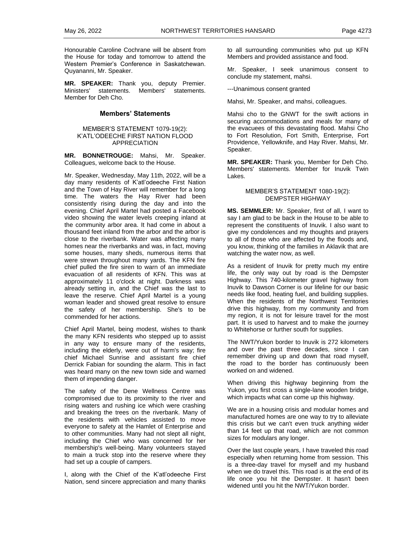Honourable Caroline Cochrane will be absent from the House for today and tomorrow to attend the Western Premier's Conference in Saskatchewan. Quyananni, Mr. Speaker.

**MR. SPEAKER:** Thank you, deputy Premier. Ministers' statements. Members' statements. Member for Deh Cho.

#### **Members' Statements**

### MEMBER'S STATEMENT 1079-19(2): K'ATL'ODEECHE FIRST NATION FLOOD APPRECIATION

**MR. BONNETROUGE:** Mahsi, Mr. Speaker. Colleagues, welcome back to the House.

Mr. Speaker, Wednesday, May 11th, 2022, will be a day many residents of K'atl'odeeche First Nation and the Town of Hay River will remember for a long time. The waters the Hay River had been consistently rising during the day and into the evening. Chief April Martel had posted a Facebook video showing the water levels creeping inland at the community arbor area. It had come in about a thousand feet inland from the arbor and the arbor is close to the riverbank. Water was affecting many homes near the riverbanks and was, in fact, moving some houses, many sheds, numerous items that were strewn throughout many yards. The KFN fire chief pulled the fire siren to warn of an immediate evacuation of all residents of KFN. This was at approximately 11 o'clock at night. Darkness was already setting in, and the Chief was the last to leave the reserve. Chief April Martel is a young woman leader and showed great resolve to ensure the safety of her membership. She's to be commended for her actions.

Chief April Martel, being modest, wishes to thank the many KFN residents who stepped up to assist in any way to ensure many of the residents, including the elderly, were out of harm's way; fire chief Michael Sunrise and assistant fire chief Derrick Fabian for sounding the alarm. This in fact was heard many on the new town side and warned them of impending danger.

The safety of the Dene Wellness Centre was compromised due to its proximity to the river and rising waters and rushing ice which were crashing and breaking the trees on the riverbank. Many of the residents with vehicles assisted to move everyone to safety at the Hamlet of Enterprise and to other communities. Many had not slept all night, including the Chief who was concerned for her membership's well-being. Many volunteers stayed to main a truck stop into the reserve where they had set up a couple of campers.

I, along with the Chief of the K'atl'odeeche First Nation, send sincere appreciation and many thanks

to all surrounding communities who put up KFN Members and provided assistance and food.

Mr. Speaker, I seek unanimous consent to conclude my statement, mahsi.

---Unanimous consent granted

Mahsi, Mr. Speaker, and mahsi, colleagues.

Mahsi cho to the GNWT for the swift actions in securing accommodations and meals for many of the evacuees of this devastating flood. Mahsi Cho to Fort Resolution, Fort Smith, Enterprise, Fort Providence, Yellowknife, and Hay River. Mahsi, Mr. Speaker.

**MR. SPEAKER:** Thank you, Member for Deh Cho. Members' statements. Member for Inuvik Twin Lakes.

## MEMBER'S STATEMENT 1080-19(2): DEMPSTER HIGHWAY

**MS. SEMMLER:** Mr. Speaker, first of all, I want to say I am glad to be back in the House to be able to represent the constituents of Inuvik. I also want to give my condolences and my thoughts and prayers to all of those who are affected by the floods and, you know, thinking of the families in Aklavik that are watching the water now, as well.

As a resident of Inuvik for pretty much my entire life, the only way out by road is the Dempster Highway. This 740-kilometer gravel highway from Inuvik to Dawson Corner is our lifeline for our basic needs like food, heating fuel, and building supplies. When the residents of the Northwest Territories drive this highway, from my community and from my region, it is not for leisure travel for the most part. It is used to harvest and to make the journey to Whitehorse or further south for supplies.

The NWT/Yukon border to Inuvik is 272 kilometers and over the past three decades, since I can remember driving up and down that road myself, the road to the border has continuously been worked on and widened.

When driving this highway beginning from the Yukon, you first cross a single-lane wooden bridge, which impacts what can come up this highway.

We are in a housing crisis and modular homes and manufactured homes are one way to try to alleviate this crisis but we can't even truck anything wider than 14 feet up that road, which are not common sizes for modulars any longer.

Over the last couple years, I have traveled this road especially when returning home from session. This is a three-day travel for myself and my husband when we do travel this. This road is at the end of its life once you hit the Dempster. It hasn't been widened until you hit the NWT/Yukon border.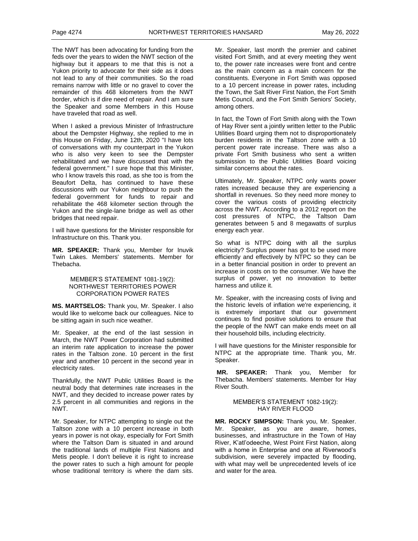The NWT has been advocating for funding from the feds over the years to widen the NWT section of the highway but it appears to me that this is not a Yukon priority to advocate for their side as it does not lead to any of their communities. So the road remains narrow with little or no gravel to cover the remainder of this 468 kilometers from the NWT border, which is if dire need of repair. And I am sure the Speaker and some Members in this House have traveled that road as well.

When I asked a previous Minister of Infrastructure about the Dempster Highway, she replied to me in this House on Friday, June 12th, 2020 "I have lots of conversations with my counterpart in the Yukon who is also very keen to see the Dempster rehabilitated and we have discussed that with the federal government." I sure hope that this Minister, who I know travels this road, as she too is from the Beaufort Delta, has continued to have these discussions with our Yukon neighbour to push the federal government for funds to repair and rehabilitate the 468 kilometer section through the Yukon and the single-lane bridge as well as other bridges that need repair.

I will have questions for the Minister responsible for Infrastructure on this. Thank you.

**MR. SPEAKER:** Thank you, Member for Inuvik Twin Lakes. Members' statements. Member for Thebacha.

#### MEMBER'S STATEMENT 1081-19(2): NORTHWEST TERRITORIES POWER CORPORATION POWER RATES

**MS. MARTSELOS:** Thank you, Mr. Speaker. I also would like to welcome back our colleagues. Nice to be sitting again in such nice weather.

Mr. Speaker, at the end of the last session in March, the NWT Power Corporation had submitted an interim rate application to increase the power rates in the Taltson zone. 10 percent in the first year and another 10 percent in the second year in electricity rates.

Thankfully, the NWT Public Utilities Board is the neutral body that determines rate increases in the NWT, and they decided to increase power rates by 2.5 percent in all communities and regions in the NWT.

Mr. Speaker, for NTPC attempting to single out the Taltson zone with a 10 percent increase in both years in power is not okay, especially for Fort Smith where the Taltson Dam is situated in and around the traditional lands of multiple First Nations and Metis people. I don't believe it is right to increase the power rates to such a high amount for people whose traditional territory is where the dam sits. Mr. Speaker, last month the premier and cabinet visited Fort Smith, and at every meeting they went to, the power rate increases were front and centre as the main concern as a main concern for the constituents. Everyone in Fort Smith was opposed to a 10 percent increase in power rates, including the Town, the Salt River First Nation, the Fort Smith Metis Council, and the Fort Smith Seniors' Society, among others.

In fact, the Town of Fort Smith along with the Town of Hay River sent a jointly written letter to the Public Utilities Board urging them not to disproportionately burden residents in the Taltson zone with a 10 percent power rate increase. There was also a private Fort Smith business who sent a written submission to the Public Utilities Board voicing similar concerns about the rates.

Ultimately, Mr. Speaker, NTPC only wants power rates increased because they are experiencing a shortfall in revenues. So they need more money to cover the various costs of providing electricity across the NWT. According to a 2012 report on the cost pressures of NTPC, the Taltson Dam generates between 5 and 8 megawatts of surplus energy each year.

So what is NTPC doing with all the surplus electricity? Surplus power has got to be used more efficiently and effectively by NTPC so they can be in a better financial position in order to prevent an increase in costs on to the consumer. We have the surplus of power, yet no innovation to better harness and utilize it.

Mr. Speaker, with the increasing costs of living and the historic levels of inflation we're experiencing, it is extremely important that our government continues to find positive solutions to ensure that the people of the NWT can make ends meet on all their household bills, including electricity.

I will have questions for the Minister responsible for NTPC at the appropriate time. Thank you, Mr. Speaker.

**MR. SPEAKER:** Thank you, Member for Thebacha. Members' statements. Member for Hay River South.

#### MEMBER'S STATEMENT 1082-19(2): HAY RIVER FLOOD

**MR. ROCKY SIMPSON:** Thank you, Mr. Speaker. Mr. Speaker, as you are aware, homes, businesses, and infrastructure in the Town of Hay River, K'atl'odeeche, West Point First Nation, along with a home in Enterprise and one at Riverwood's subdivision, were severely impacted by flooding, with what may well be unprecedented levels of ice and water for the area.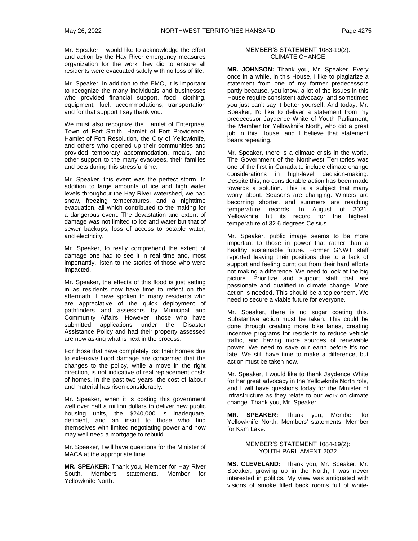Mr. Speaker, I would like to acknowledge the effort and action by the Hay River emergency measures organization for the work they did to ensure all residents were evacuated safely with no loss of life.

Mr. Speaker, in addition to the EMO, it is important to recognize the many individuals and businesses who provided financial support, food, clothing, equipment, fuel, accommodations, transportation and for that support I say thank you.

We must also recognize the Hamlet of Enterprise, Town of Fort Smith, Hamlet of Fort Providence, Hamlet of Fort Resolution, the City of Yellowknife, and others who opened up their communities and provided temporary accommodation, meals, and other support to the many evacuees, their families and pets during this stressful time.

Mr. Speaker, this event was the perfect storm. In addition to large amounts of ice and high water levels throughout the Hay River watershed, we had snow, freezing temperatures, and a nighttime evacuation, all which contributed to the making for a dangerous event. The devastation and extent of damage was not limited to ice and water but that of sewer backups, loss of access to potable water, and electricity.

Mr. Speaker, to really comprehend the extent of damage one had to see it in real time and, most importantly, listen to the stories of those who were impacted.

Mr. Speaker, the effects of this flood is just setting in as residents now have time to reflect on the aftermath. I have spoken to many residents who are appreciative of the quick deployment of pathfinders and assessors by Municipal and Community Affairs. However, those who have submitted applications under the Disaster Assistance Policy and had their property assessed are now asking what is next in the process.

For those that have completely lost their homes due to extensive flood damage are concerned that the changes to the policy, while a move in the right direction, is not indicative of real replacement costs of homes. In the past two years, the cost of labour and material has risen considerably.

Mr. Speaker, when it is costing this government well over half a million dollars to deliver new public housing units, the \$240,000 is inadequate, deficient, and an insult to those who find themselves with limited negotiating power and now may well need a mortgage to rebuild.

Mr. Speaker, I will have questions for the Minister of MACA at the appropriate time.

**MR. SPEAKER:** Thank you, Member for Hay River South. Members' statements. Member for Yellowknife North.

#### MEMBER'S STATEMENT 1083-19(2): CLIMATE CHANGE

**MR. JOHNSON:** Thank you, Mr. Speaker. Every once in a while, in this House, I like to plagiarize a statement from one of my former predecessors partly because, you know, a lot of the issues in this House require consistent advocacy, and sometimes you just can't say it better yourself. And today, Mr. Speaker, I'd like to deliver a statement from my predecessor Jaydence White of Youth Parliament, the Member for Yellowknife North, who did a great job in this House, and I believe that statement bears repeating.

Mr. Speaker, there is a climate crisis in the world. The Government of the Northwest Territories was one of the first in Canada to include climate change considerations in high-level decision-making. Despite this, no considerable action has been made towards a solution. This is a subject that many worry about. Seasons are changing. Winters are becoming shorter, and summers are reaching temperature records. In August of 2021, Yellowknife hit its record for the highest temperature of 32.6 degrees Celsius.

Mr. Speaker, public image seems to be more important to those in power that rather than a healthy sustainable future. Former GNWT staff reported leaving their positions due to a lack of support and feeling burnt out from their hard efforts not making a difference. We need to look at the big picture. Prioritize and support staff that are passionate and qualified in climate change. More action is needed. This should be a top concern. We need to secure a viable future for everyone.

Mr. Speaker, there is no sugar coating this. Substantive action must be taken. This could be done through creating more bike lanes, creating incentive programs for residents to reduce vehicle traffic, and having more sources of renewable power. We need to save our earth before it's too late. We still have time to make a difference, but action must be taken now.

Mr. Speaker, I would like to thank Jaydence White for her great advocacy in the Yellowknife North role, and I will have questions today for the Minister of Infrastructure as they relate to our work on climate change. Thank you, Mr. Speaker.

**MR. SPEAKER:** Thank you, Member for Yellowknife North. Members' statements. Member for Kam Lake.

#### MEMBER'S STATEMENT 1084-19(2): YOUTH PARLIAMENT 2022

**MS. CLEVELAND:** Thank you, Mr. Speaker. Mr. Speaker, growing up in the North, I was never interested in politics. My view was antiquated with visions of smoke filled back rooms full of white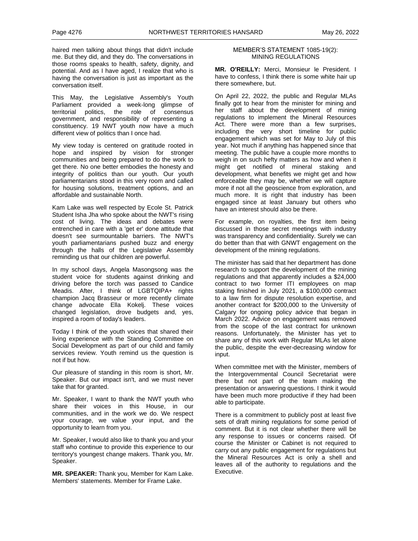haired men talking about things that didn't include me. But they did, and they do. The conversations in those rooms speaks to health, safety, dignity, and potential. And as I have aged, I realize that who is having the conversation is just as important as the conversation itself.

This May, the Legislative Assembly's Youth Parliament provided a week-long glimpse of territorial politics, the role of consensus government, and responsibility of representing a constituency. 19 NWT youth now have a much different view of politics than I once had.

My view today is centered on gratitude rooted in hope and inspired by vision for stronger communities and being prepared to do the work to get there. No one better embodies the honesty and integrity of politics than our youth. Our youth parliamentarians stood in this very room and called for housing solutions, treatment options, and an affordable and sustainable North.

Kam Lake was well respected by Ecole St. Patrick Student Isha Jha who spoke about the NWT's rising cost of living. The ideas and debates were entrenched in care with a 'get er' done attitude that doesn't see surmountable barriers. The NWT's youth parliamentarians pushed buzz and energy through the halls of the Legislative Assembly reminding us that our children are powerful.

In my school days, Angela Masongsong was the student voice for students against drinking and driving before the torch was passed to Candice Meadis. After, I think of LGBTQIPA+ rights champion Jacq Brasseur or more recently climate change advocate Ella Kokelj. These voices changed legislation, drove budgets and, yes, inspired a room of today's leaders.

Today I think of the youth voices that shared their living experience with the Standing Committee on Social Development as part of our child and family services review. Youth remind us the question is not if but how.

Our pleasure of standing in this room is short, Mr. Speaker. But our impact isn't, and we must never take that for granted.

Mr. Speaker, I want to thank the NWT youth who share their voices in this House, in our communities, and in the work we do. We respect your courage, we value your input, and the opportunity to learn from you.

Mr. Speaker, I would also like to thank you and your staff who continue to provide this experience to our territory's youngest change makers. Thank you, Mr. Speaker.

**MR. SPEAKER:** Thank you, Member for Kam Lake. Members' statements. Member for Frame Lake.

#### MEMBER'S STATEMENT 1085-19(2): MINING REGULATIONS

**MR. O'REILLY:** Merci, Monsieur le President. I have to confess, I think there is some white hair up there somewhere, but.

On April 22, 2022, the public and Regular MLAs finally got to hear from the minister for mining and her staff about the development of mining regulations to implement the Mineral Resources Act. There were more than a few surprises, including the very short timeline for public engagement which was set for May to July of this year. Not much if anything has happened since that meeting. The public have a couple more months to weigh in on such hefty matters as how and when it might get notified of mineral staking and development, what benefits we might get and how enforceable they may be, whether we will capture more if not all the geoscience from exploration, and much more. It is right that industry has been engaged since at least January but others who have an interest should also be there.

For example, on royalties, the first item being discussed in those secret meetings with industry was transparency and confidentiality. Surely we can do better than that with GNWT engagement on the development of the mining regulations.

The minister has said that her department has done research to support the development of the mining regulations and that apparently includes a \$24,000 contract to two former ITI employees on map staking finished in July 2021, a \$100,000 contract to a law firm for dispute resolution expertise, and another contract for \$200,000 to the University of Calgary for ongoing policy advice that began in March 2022. Advice on engagement was removed from the scope of the last contract for unknown reasons. Unfortunately, the Minister has yet to share any of this work with Regular MLAs let alone the public, despite the ever-decreasing window for input.

When committee met with the Minister, members of the Intergovernmental Council Secretariat were there but not part of the team making the presentation or answering questions. I think it would have been much more productive if they had been able to participate.

There is a commitment to publicly post at least five sets of draft mining regulations for some period of comment. But it is not clear whether there will be any response to issues or concerns raised. Of course the Minister or Cabinet is not required to carry out any public engagement for regulations but the Mineral Resources Act is only a shell and leaves all of the authority to regulations and the Executive.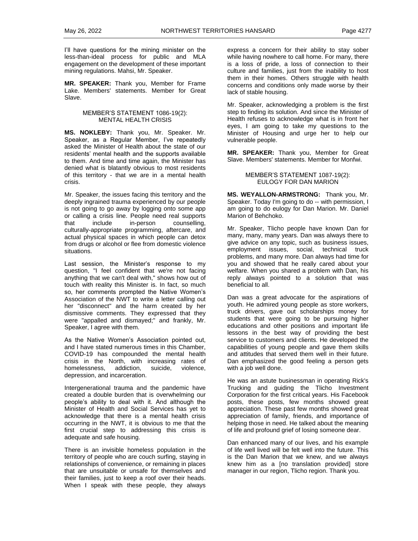I'll have questions for the mining minister on the less-than-ideal process for public and MLA engagement on the development of these important mining regulations. Mahsi, Mr. Speaker.

**MR. SPEAKER:** Thank you, Member for Frame Lake. Members' statements. Member for Great Slave.

#### MEMBER'S STATEMENT 1086-19(2): MENTAL HEALTH CRISIS

**MS. NOKLEBY:** Thank you, Mr. Speaker. Mr. Speaker, as a Regular Member, I've repeatedly asked the Minister of Health about the state of our residents' mental health and the supports available to them. And time and time again, the Minister has denied what is blatantly obvious to most residents of this territory - that we are in a mental health crisis.

Mr. Speaker, the issues facing this territory and the deeply ingrained trauma experienced by our people is not going to go away by logging onto some app or calling a crisis line. People need real supports that include in-person counselling, culturally-appropriate programming, aftercare, and actual physical spaces in which people can detox from drugs or alcohol or flee from domestic violence situations.

Last session, the Minister's response to my question, "I feel confident that we're not facing anything that we can't deal with," shows how out of touch with reality this Minister is. In fact, so much so, her comments prompted the Native Women's Association of the NWT to write a letter calling out her "disconnect" and the harm created by her dismissive comments. They expressed that they were "appalled and dismayed;" and frankly, Mr. Speaker, I agree with them.

As the Native Women's Association pointed out, and I have stated numerous times in this Chamber, COVID-19 has compounded the mental health crisis in the North, with increasing rates of homelessness, addiction, suicide, violence, depression, and incarceration.

Intergenerational trauma and the pandemic have created a double burden that is overwhelming our people's ability to deal with it. And although the Minister of Health and Social Services has yet to acknowledge that there is a mental health crisis occurring in the NWT, it is obvious to me that the first crucial step to addressing this crisis is adequate and safe housing.

There is an invisible homeless population in the territory of people who are couch surfing, staying in relationships of convenience, or remaining in places that are unsuitable or unsafe for themselves and their families, just to keep a roof over their heads. When I speak with these people, they always

express a concern for their ability to stay sober while having nowhere to call home. For many, there is a loss of pride, a loss of connection to their culture and families, just from the inability to host them in their homes. Others struggle with health concerns and conditions only made worse by their lack of stable housing.

Mr. Speaker, acknowledging a problem is the first step to finding its solution. And since the Minister of Health refuses to acknowledge what is in front her eyes, I am going to take my questions to the Minister of Housing and urge her to help our vulnerable people.

**MR. SPEAKER:** Thank you, Member for Great Slave. Members' statements. Member for Monfwi.

#### MEMBER'S STATEMENT 1087-19(2): EULOGY FOR DAN MARION

**MS. WEYALLON-ARMSTRONG:** Thank you, Mr. Speaker. Today I'm going to do -- with permission, I am going to do eulogy for Dan Marion. Mr. Daniel Marion of Behchoko.

Mr. Speaker, Tlicho people have known Dan for many, many, many years. Dan was always there to give advice on any topic, such as business issues, employment issues, social, technical truck problems, and many more. Dan always had time for you and showed that he really cared about your welfare. When you shared a problem with Dan, his reply always pointed to a solution that was beneficial to all.

Dan was a great advocate for the aspirations of youth. He admired young people as store workers, truck drivers, gave out scholarships money for students that were going to be pursuing higher educations and other positions and important life lessons in the best way of providing the best service to customers and clients. He developed the capabilities of young people and gave them skills and attitudes that served them well in their future. Dan emphasized the good feeling a person gets with a job well done.

He was an astute businessman in operating Rick's Trucking and guiding the Tlicho Investment Corporation for the first critical years. His Facebook posts, these posts, few months showed great appreciation. These past few months showed great appreciation of family, friends, and importance of helping those in need. He talked about the meaning of life and profound grief of losing someone dear.

Dan enhanced many of our lives, and his example of life well lived will be felt well into the future. This is the Dan Marion that we knew, and we always knew him as a [no translation provided] store manager in our region, Tlicho region. Thank you.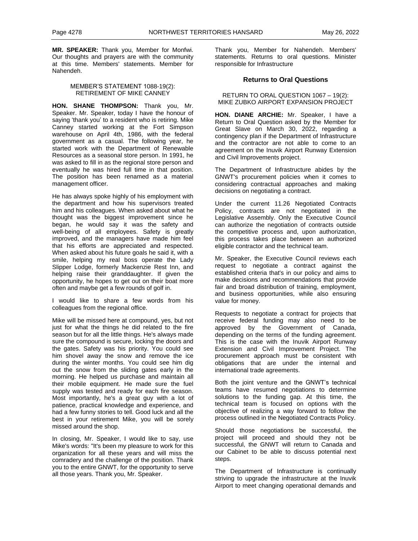**MR. SPEAKER:** Thank you, Member for Monfwi. Our thoughts and prayers are with the community at this time. Members' statements. Member for Nahendeh.

#### MEMBER'S STATEMENT 1088-19(2): RETIREMENT OF MIKE CANNEY

**HON. SHANE THOMPSON:** Thank you, Mr. Speaker. Mr. Speaker, today I have the honour of saying 'thank you' to a resident who is retiring. Mike Canney started working at the Fort Simpson warehouse on April 4th, 1986, with the federal government as a casual. The following year, he started work with the Department of Renewable Resources as a seasonal store person. In 1991, he was asked to fill in as the regional store person and eventually he was hired full time in that position. The position has been renamed as a material management officer.

He has always spoke highly of his employment with the department and how his supervisors treated him and his colleagues. When asked about what he thought was the biggest improvement since he began, he would say it was the safety and well-being of all employees. Safety is greatly improved, and the managers have made him feel that his efforts are appreciated and respected. When asked about his future goals he said it, with a smile, helping my real boss operate the Lady Slipper Lodge, formerly Mackenzie Rest Inn, and helping raise their granddaughter. If given the opportunity, he hopes to get out on their boat more often and maybe get a few rounds of golf in.

I would like to share a few words from his colleagues from the regional office.

Mike will be missed here at compound, yes, but not just for what the things he did related to the fire season but for all the little things. He's always made sure the compound is secure, locking the doors and the gates. Safety was his priority. You could see him shovel away the snow and remove the ice during the winter months. You could see him dig out the snow from the sliding gates early in the morning. He helped us purchase and maintain all their mobile equipment. He made sure the fuel supply was tested and ready for each fire season. Most importantly, he's a great guy with a lot of patience, practical knowledge and experience, and had a few funny stories to tell. Good luck and all the best in your retirement Mike, you will be sorely missed around the shop.

In closing, Mr. Speaker, I would like to say, use Mike's words: "It's been my pleasure to work for this organization for all these years and will miss the comradery and the challenge of the position. Thank you to the entire GNWT, for the opportunity to serve all those years. Thank you, Mr. Speaker.

Thank you, Member for Nahendeh. Members' statements. Returns to oral questions. Minister responsible for Infrastructure

## **Returns to Oral Questions**

RETURN TO ORAL QUESTION 1067 – 19(2): MIKE ZUBKO AIRPORT EXPANSION PROJECT

**HON. DIANE ARCHIE:** Mr. Speaker, I have a Return to Oral Question asked by the Member for Great Slave on March 30, 2022, regarding a contingency plan if the Department of Infrastructure and the contractor are not able to come to an agreement on the Inuvik Airport Runway Extension and Civil Improvements project.

The Department of Infrastructure abides by the GNWT's procurement policies when it comes to considering contractual approaches and making decisions on negotiating a contract.

Under the current 11.26 Negotiated Contracts Policy, contracts are not negotiated in the Legislative Assembly. Only the Executive Council can authorize the negotiation of contracts outside the competitive process and, upon authorization, this process takes place between an authorized eligible contractor and the technical team.

Mr. Speaker, the Executive Council reviews each request to negotiate a contract against the established criteria that's in our policy and aims to make decisions and recommendations that provide fair and broad distribution of training, employment, and business opportunities, while also ensuring value for money.

Requests to negotiate a contract for projects that receive federal funding may also need to be approved by the Government of Canada, depending on the terms of the funding agreement. This is the case with the Inuvik Airport Runway Extension and Civil Improvement Project. The procurement approach must be consistent with obligations that are under the internal and international trade agreements.

Both the joint venture and the GNWT's technical teams have resumed negotiations to determine solutions to the funding gap. At this time, the technical team is focused on options with the objective of realizing a way forward to follow the process outlined in the Negotiated Contracts Policy.

Should those negotiations be successful, the project will proceed and should they not be successful, the GNWT will return to Canada and our Cabinet to be able to discuss potential next steps.

The Department of Infrastructure is continually striving to upgrade the infrastructure at the Inuvik Airport to meet changing operational demands and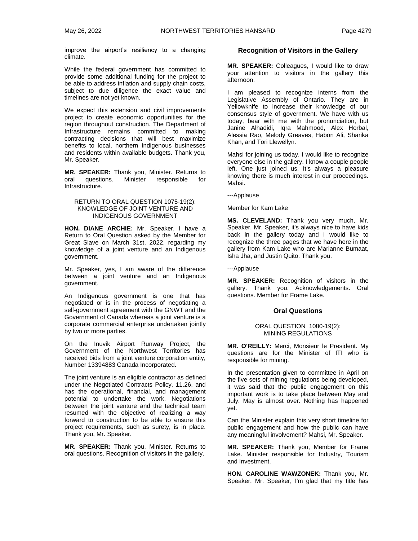improve the airport's resiliency to a changing climate.

While the federal government has committed to provide some additional funding for the project to be able to address inflation and supply chain costs, subject to due diligence the exact value and timelines are not yet known.

We expect this extension and civil improvements project to create economic opportunities for the region throughout construction. The Department of Infrastructure remains committed to making contracting decisions that will best maximize benefits to local, northern Indigenous businesses and residents within available budgets. Thank you, Mr. Speaker.

**MR. SPEAKER:** Thank you, Minister. Returns to oral questions. Minister responsible for Infrastructure.

## RETURN TO ORAL QUESTION 1075-19(2): KNOWLEDGE OF JOINT VENTURE AND INDIGENOUS GOVERNMENT

**HON. DIANE ARCHIE:** Mr. Speaker, I have a Return to Oral Question asked by the Member for Great Slave on March 31st, 2022, regarding my knowledge of a joint venture and an Indigenous government.

Mr. Speaker, yes, I am aware of the difference between a joint venture and an Indigenous government.

An Indigenous government is one that has negotiated or is in the process of negotiating a self-government agreement with the GNWT and the Government of Canada whereas a joint venture is a corporate commercial enterprise undertaken jointly by two or more parties.

On the Inuvik Airport Runway Project, the Government of the Northwest Territories has received bids from a joint venture corporation entity, Number 13394883 Canada Incorporated.

The joint venture is an eligible contractor as defined under the Negotiated Contracts Policy, 11.26, and has the operational, financial, and management potential to undertake the work. Negotiations between the joint venture and the technical team resumed with the objective of realizing a way forward to construction to be able to ensure this project requirements, such as surety, is in place. Thank you, Mr. Speaker.

**MR. SPEAKER:** Thank you, Minister. Returns to oral questions. Recognition of visitors in the gallery.

## **Recognition of Visitors in the Gallery**

**MR. SPEAKER:** Colleagues, I would like to draw your attention to visitors in the gallery this afternoon.

I am pleased to recognize interns from the Legislative Assembly of Ontario. They are in Yellowknife to increase their knowledge of our consensus style of government. We have with us today, bear with me with the pronunciation, but Janine Alhadidi, Iqra Mahmood, Alex Horbal, Alessia Rao, Melody Greaves, Habon Ali, Sharika Khan, and Tori Llewellyn.

Mahsi for joining us today. I would like to recognize everyone else in the gallery. I know a couple people left. One just joined us. It's always a pleasure knowing there is much interest in our proceedings. Mahsi.

---Applause

Member for Kam Lake

**MS. CLEVELAND:** Thank you very much, Mr. Speaker. Mr. Speaker, it's always nice to have kids back in the gallery today and I would like to recognize the three pages that we have here in the gallery from Kam Lake who are Marianne Bumaat, Isha Jha, and Justin Quito. Thank you.

---Applause

**MR. SPEAKER:** Recognition of visitors in the gallery. Thank you. Acknowledgements. Oral questions. Member for Frame Lake.

## **Oral Questions**

### ORAL QUESTION 1080-19(2): MINING REGULATIONS

**MR. O'REILLY:** Merci, Monsieur le President. My questions are for the Minister of ITI who is responsible for mining.

In the presentation given to committee in April on the five sets of mining regulations being developed, it was said that the public engagement on this important work is to take place between May and July. May is almost over. Nothing has happened yet.

Can the Minister explain this very short timeline for public engagement and how the public can have any meaningful involvement? Mahsi, Mr. Speaker.

**MR. SPEAKER:** Thank you, Member for Frame Lake. Minister responsible for Industry, Tourism and Investment.

**HON. CAROLINE WAWZONEK:** Thank you, Mr. Speaker. Mr. Speaker, I'm glad that my title has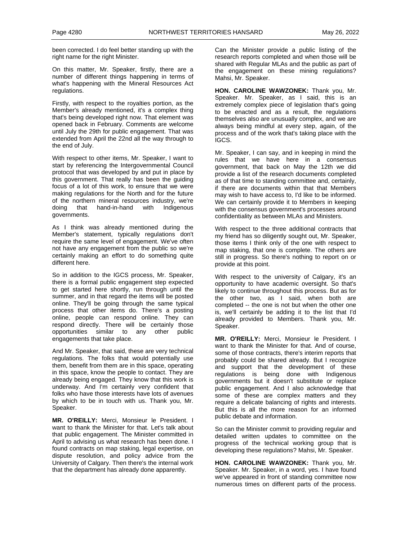been corrected. I do feel better standing up with the right name for the right Minister.

On this matter, Mr. Speaker, firstly, there are a number of different things happening in terms of what's happening with the Mineral Resources Act regulations.

Firstly, with respect to the royalties portion, as the Member's already mentioned, it's a complex thing that's being developed right now. That element was opened back in February. Comments are welcome until July the 29th for public engagement. That was extended from April the 22nd all the way through to the end of July.

With respect to other items, Mr. Speaker, I want to start by referencing the Intergovernmental Council protocol that was developed by and put in place by this government. That really has been the guiding focus of a lot of this work, to ensure that we were making regulations for the North and for the future of the northern mineral resources industry, we're doing that hand-in-hand with Indigenous governments.

As I think was already mentioned during the Member's statement, typically regulations don't require the same level of engagement. We've often not have any engagement from the public so we're certainly making an effort to do something quite different here.

So in addition to the IGCS process, Mr. Speaker, there is a formal public engagement step expected to get started here shortly, run through until the summer, and in that regard the items will be posted online. They'll be going through the same typical process that other items do. There's a posting online, people can respond online. They can respond directly. There will be certainly those opportunities similar to any other public engagements that take place.

And Mr. Speaker, that said, these are very technical regulations. The folks that would potentially use them, benefit from them are in this space, operating in this space, know the people to contact. They are already being engaged. They know that this work is underway. And I'm certainly very confident that folks who have those interests have lots of avenues by which to be in touch with us. Thank you, Mr. Speaker.

**MR. O'REILLY:** Merci, Monsieur le President. I want to thank the Minister for that. Let's talk about that public engagement. The Minister committed in April to advising us what research has been done. I found contracts on map staking, legal expertise, on dispute resolution, and policy advice from the University of Calgary. Then there's the internal work that the department has already done apparently.

Can the Minister provide a public listing of the research reports completed and when those will be shared with Regular MLAs and the public as part of the engagement on these mining regulations? Mahsi, Mr. Speaker.

**HON. CAROLINE WAWZONEK:** Thank you, Mr. Speaker. Mr. Speaker, as I said, this is an extremely complex piece of legislation that's going to be enacted and as a result, the regulations themselves also are unusually complex, and we are always being mindful at every step, again, of the process and of the work that's taking place with the IGCS.

Mr. Speaker, I can say, and in keeping in mind the rules that we have here in a consensus government, that back on May the 12th we did provide a list of the research documents completed as of that time to standing committee and, certainly, if there are documents within that that Members may wish to have access to, I'd like to be informed. We can certainly provide it to Members in keeping with the consensus government's processes around confidentiality as between MLAs and Ministers.

With respect to the three additional contracts that my friend has so diligently sought out, Mr. Speaker, those items I think only of the one with respect to map staking, that one is complete. The others are still in progress. So there's nothing to report on or provide at this point.

With respect to the university of Calgary, it's an opportunity to have academic oversight. So that's likely to continue throughout this process. But as for the other two, as I said, when both are completed -- the one is not but when the other one is, we'll certainly be adding it to the list that I'd already provided to Members. Thank you, Mr. Speaker.

**MR. O'REILLY:** Merci, Monsieur le President. I want to thank the Minister for that. And of course, some of those contracts, there's interim reports that probably could be shared already. But I recognize and support that the development of these regulations is being done with Indigenous governments but it doesn't substitute or replace public engagement. And I also acknowledge that some of these are complex matters and they require a delicate balancing of rights and interests. But this is all the more reason for an informed public debate and information.

So can the Minister commit to providing regular and detailed written updates to committee on the progress of the technical working group that is developing these regulations? Mahsi, Mr. Speaker.

**HON. CAROLINE WAWZONEK:** Thank you, Mr. Speaker. Mr. Speaker, in a word, yes. I have found we've appeared in front of standing committee now numerous times on different parts of the process.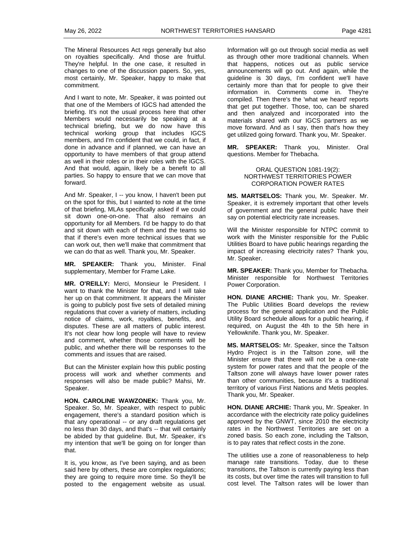The Mineral Resources Act regs generally but also on royalties specifically. And those are fruitful. They're helpful. In the one case, it resulted in changes to one of the discussion papers. So, yes, most certainly, Mr. Speaker, happy to make that commitment.

And I want to note, Mr. Speaker, it was pointed out that one of the Members of IGCS had attended the briefing. It's not the usual process here that other Members would necessarily be speaking at a technical briefing, but we do now have this technical working group that includes IGCS members, and I'm confident that we could, in fact, if done in advance and if planned, we can have an opportunity to have members of that group attend as well in their roles or in their roles with the IGCS. And that would, again, likely be a benefit to all parties. So happy to ensure that we can move that forward.

And Mr. Speaker, I -- you know, I haven't been put on the spot for this, but I wanted to note at the time of that briefing, MLAs specifically asked if we could sit down one-on-one. That also remains an opportunity for all Members. I'd be happy to do that and sit down with each of them and the teams so that if there's even more technical issues that we can work out, then we'll make that commitment that we can do that as well. Thank you, Mr. Speaker.

**MR. SPEAKER:** Thank you, Minister. Final supplementary, Member for Frame Lake.

**MR. O'REILLY:** Merci, Monsieur le President. I want to thank the Minister for that, and I will take her up on that commitment. It appears the Minister is going to publicly post five sets of detailed mining regulations that cover a variety of matters, including notice of claims, work, royalties, benefits, and disputes. These are all matters of public interest. It's not clear how long people will have to review and comment, whether those comments will be public, and whether there will be responses to the comments and issues that are raised.

But can the Minister explain how this public posting process will work and whether comments and responses will also be made public? Mahsi, Mr. Speaker.

**HON. CAROLINE WAWZONEK:** Thank you, Mr. Speaker. So, Mr. Speaker, with respect to public engagement, there's a standard position which is that any operational -- or any draft regulations get no less than 30 days, and that's -- that will certainly be abided by that guideline. But, Mr. Speaker, it's my intention that we'll be going on for longer than that.

It is, you know, as I've been saying, and as been said here by others, these are complex regulations; they are going to require more time. So they'll be posted to the engagement website as usual.

Information will go out through social media as well as through other more traditional channels. When that happens, notices out as public service announcements will go out. And again, while the guideline is 30 days, I'm confident we'll have certainly more than that for people to give their information in. Comments come in. They're compiled. Then there's the 'what we heard' reports that get put together. Those, too, can be shared and then analyzed and incorporated into the materials shared with our IGCS partners as we move forward. And as I say, then that's how they get utilized going forward. Thank you, Mr. Speaker.

**MR. SPEAKER:** Thank you, Minister. Oral questions. Member for Thebacha.

> ORAL QUESTION 1081-19(2): NORTHWEST TERRITORIES POWER CORPORATION POWER RATES

**MS. MARTSELOS:** Thank you, Mr. Speaker. Mr. Speaker, it is extremely important that other levels of government and the general public have their say on potential electricity rate increases.

Will the Minister responsible for NTPC commit to work with the Minister responsible for the Public Utilities Board to have public hearings regarding the impact of increasing electricity rates? Thank you, Mr. Speaker.

**MR. SPEAKER:** Thank you, Member for Thebacha. Minister responsible for Northwest Territories Power Corporation.

**HON. DIANE ARCHIE:** Thank you, Mr. Speaker. The Public Utilities Board develops the review process for the general application and the Public Utility Board schedule allows for a public hearing, if required, on August the 4th to the 5th here in Yellowknife. Thank you, Mr. Speaker.

**MS. MARTSELOS:** Mr. Speaker, since the Taltson Hydro Project is in the Taltson zone, will the Minister ensure that there will not be a one-rate system for power rates and that the people of the Taltson zone will always have lower power rates than other communities, because it's a traditional territory of various First Nations and Metis peoples. Thank you, Mr. Speaker.

**HON. DIANE ARCHIE:** Thank you, Mr. Speaker. In accordance with the electricity rate policy guidelines approved by the GNWT, since 2010 the electricity rates in the Northwest Territories are set on a zoned basis. So each zone, including the Taltson, is to pay rates that reflect costs in the zone.

The utilities use a zone of reasonableness to help manage rate transitions. Today, due to these transitions, the Taltson is currently paying less than its costs, but over time the rates will transition to full cost level. The Taltson rates will be lower than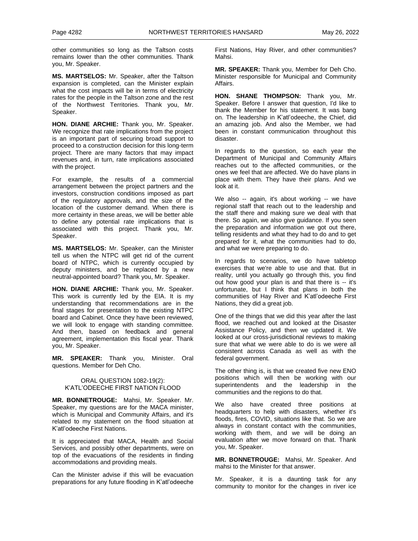other communities so long as the Taltson costs remains lower than the other communities. Thank you, Mr. Speaker.

**MS. MARTSELOS:** Mr. Speaker, after the Taltson expansion is completed, can the Minister explain what the cost impacts will be in terms of electricity rates for the people in the Taltson zone and the rest of the Northwest Territories. Thank you, Mr. Speaker.

**HON. DIANE ARCHIE:** Thank you, Mr. Speaker. We recognize that rate implications from the project is an important part of securing broad support to proceed to a construction decision for this long-term project. There are many factors that may impact revenues and, in turn, rate implications associated with the project.

For example, the results of a commercial arrangement between the project partners and the investors, construction conditions imposed as part of the regulatory approvals, and the size of the location of the customer demand. When there is more certainty in these areas, we will be better able to define any potential rate implications that is associated with this project. Thank you, Mr. Speaker.

**MS. MARTSELOS:** Mr. Speaker, can the Minister tell us when the NTPC will get rid of the current board of NTPC, which is currently occupied by deputy ministers, and be replaced by a new neutral-appointed board? Thank you, Mr. Speaker.

**HON. DIANE ARCHIE:** Thank you, Mr. Speaker. This work is currently led by the EIA. It is my understanding that recommendations are in the final stages for presentation to the existing NTPC board and Cabinet. Once they have been reviewed, we will look to engage with standing committee. And then, based on feedback and general agreement, implementation this fiscal year. Thank you, Mr. Speaker.

**MR. SPEAKER:** Thank you, Minister. Oral questions. Member for Deh Cho.

#### ORAL QUESTION 1082-19(2): K'ATL'ODEECHE FIRST NATION FLOOD

**MR. BONNETROUGE:** Mahsi, Mr. Speaker. Mr. Speaker, my questions are for the MACA minister, which is Municipal and Community Affairs, and it's related to my statement on the flood situation at K'atl'odeeche First Nations.

It is appreciated that MACA, Health and Social Services, and possibly other departments, were on top of the evacuations of the residents in finding accommodations and providing meals.

Can the Minister advise if this will be evacuation preparations for any future flooding in K'atl'odeeche

First Nations, Hay River, and other communities? Mahsi.

**MR. SPEAKER:** Thank you, Member for Deh Cho. Minister responsible for Municipal and Community Affairs.

**HON. SHANE THOMPSON:** Thank you, Mr. Speaker. Before I answer that question, I'd like to thank the Member for his statement. It was bang on. The leadership in K'atl'odeeche, the Chief, did an amazing job. And also the Member, we had been in constant communication throughout this disaster.

In regards to the question, so each year the Department of Municipal and Community Affairs reaches out to the affected communities, or the ones we feel that are affected. We do have plans in place with them. They have their plans. And we look at it.

We also -- again, it's about working -- we have regional staff that reach out to the leadership and the staff there and making sure we deal with that there. So again, we also give guidance. If you seen the preparation and information we got out there, telling residents and what they had to do and to get prepared for it, what the communities had to do, and what we were preparing to do.

In regards to scenarios, we do have tabletop exercises that we're able to use and that. But in reality, until you actually go through this, you find out how good your plan is and that there is -- it's unfortunate, but I think that plans in both the communities of Hay River and K'atl'odeeche First Nations, they did a great job.

One of the things that we did this year after the last flood, we reached out and looked at the Disaster Assistance Policy, and then we updated it. We looked at our cross-jurisdictional reviews to making sure that what we were able to do is we were all consistent across Canada as well as with the federal government.

The other thing is, is that we created five new ENO positions which will then be working with our superintendents and the leadership in the communities and the regions to do that.

We also have created three positions at headquarters to help with disasters, whether it's floods, fires, COVID, situations like that. So we are always in constant contact with the communities, working with them, and we will be doing an evaluation after we move forward on that. Thank you, Mr. Speaker.

**MR. BONNETROUGE:** Mahsi, Mr. Speaker. And mahsi to the Minister for that answer.

Mr. Speaker, it is a daunting task for any community to monitor for the changes in river ice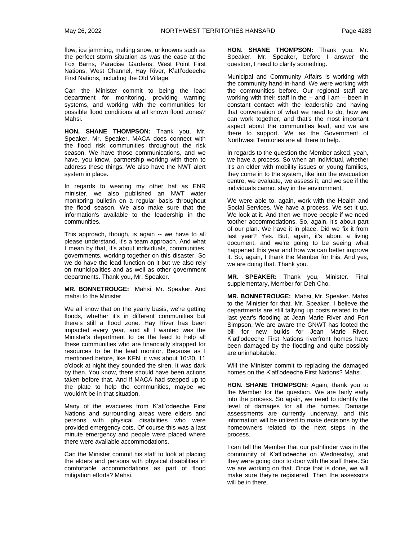flow, ice jamming, melting snow, unknowns such as the perfect storm situation as was the case at the Fox Barns, Paradise Gardens, West Point First Nations, West Channel, Hay River, K'atl'odeeche First Nations, including the Old Village.

Can the Minister commit to being the lead department for monitoring, providing warning systems, and working with the communities for possible flood conditions at all known flood zones? Mahsi.

**HON. SHANE THOMPSON:** Thank you, Mr. Speaker. Mr. Speaker, MACA does connect with the flood risk communities throughout the risk season. We have those communications, and we have, you know, partnership working with them to address these things. We also have the NWT alert system in place.

In regards to wearing my other hat as ENR minister, we also published an NWT water monitoring bulletin on a regular basis throughout the flood season. We also make sure that the information's available to the leadership in the communities.

This approach, though, is again -- we have to all please understand, it's a team approach. And what I mean by that, it's about individuals, communities, governments, working together on this disaster. So we do have the lead function on it but we also rely on municipalities and as well as other government departments. Thank you, Mr. Speaker.

**MR. BONNETROUGE:** Mahsi, Mr. Speaker. And mahsi to the Minister.

We all know that on the yearly basis, we're getting floods, whether it's in different communities but there's still a flood zone. Hay River has been impacted every year, and all I wanted was the Minister's department to be the lead to help all these communities who are financially strapped for resources to be the lead monitor. Because as I mentioned before, like KFN, it was about 10:30, 11 o'clock at night they sounded the siren. It was dark by then. You know, there should have been actions taken before that. And if MACA had stepped up to the plate to help the communities, maybe we wouldn't be in that situation.

Many of the evacuees from K'atl'odeeche First Nations and surrounding areas were elders and persons with physical disabilities who were provided emergency cots. Of course this was a last minute emergency and people were placed where there were available accommodations.

Can the Minister commit his staff to look at placing the elders and persons with physical disabilities in comfortable accommodations as part of flood mitigation efforts? Mahsi.

**HON. SHANE THOMPSON:** Thank you, Mr. Speaker. Mr. Speaker, before I answer the question, I need to clarify something.

Municipal and Community Affairs is working with the community hand-in-hand. We were working with the communities before. Our regional staff are working with their staff in the -- and I am -- been in constant contact with the leadership and having that conversation of what we need to do, how we can work together, and that's the most important aspect about the communities lead, and we are there to support. We as the Government of Northwest Territories are all there to help.

In regards to the question the Member asked, yeah, we have a process. So when an individual, whether it's an elder with mobility issues or young families, they come in to the system, like into the evacuation centre, we evaluate, we assess it, and we see if the individuals cannot stay in the environment.

We were able to, again, work with the Health and Social Services. We have a process. We set it up. We look at it. And then we move people if we need toother accommodations. So, again, it's about part of our plan. We have it in place. Did we fix it from last year? Yes. But, again, it's about a living document, and we're going to be seeing what happened this year and how we can better improve it. So, again, I thank the Member for this. And yes, we are doing that. Thank you.

**MR. SPEAKER:** Thank you, Minister. Final supplementary, Member for Deh Cho.

**MR. BONNETROUGE:** Mahsi, Mr. Speaker. Mahsi to the Minister for that. Mr. Speaker, I believe the departments are still tallying up costs related to the last year's flooding at Jean Marie River and Fort Simpson. We are aware the GNWT has footed the bill for new builds for Jean Marie River. K'atl'odeeche First Nations riverfront homes have been damaged by the flooding and quite possibly are uninhabitable.

Will the Minister commit to replacing the damaged homes on the K'atl'odeeche First Nations? Mahsi.

**HON. SHANE THOMPSON:** Again, thank you to the Member for the question. We are fairly early into the process. So again, we need to identify the level of damages for all the homes. Damage assessments are currently underway, and this information will be utilized to make decisions by the homeowners related to the next steps in the process.

I can tell the Member that our pathfinder was in the community of K'atl'odeeche on Wednesday, and they were going door to door with the staff there. So we are working on that. Once that is done, we will make sure they're registered. Then the assessors will be in there.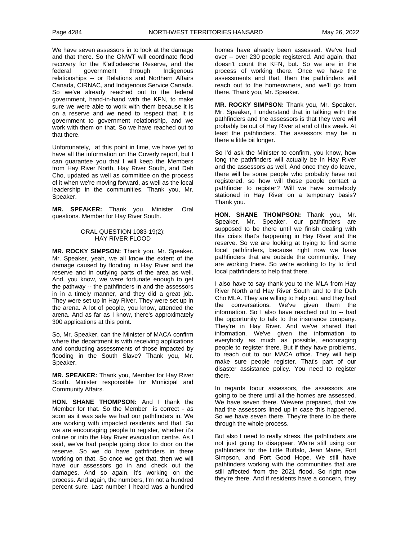We have seven assessors in to look at the damage and that there. So the GNWT will coordinate flood recovery for the K'atl'odeeche Reserve, and the federal government through Indigenous relationships -- or Relations and Northern Affairs Canada, CIRNAC, and Indigenous Service Canada. So we've already reached out to the federal government, hand-in-hand with the KFN, to make sure we were able to work with them because it is on a reserve and we need to respect that. It is government to government relationship, and we work with them on that. So we have reached out to that there.

Unfortunately, at this point in time, we have yet to have all the information on the Coverly report, but I can guarantee you that I will keep the Members from Hay River North, Hay River South, and Deh Cho, updated as well as committee on the process of it when we're moving forward, as well as the local leadership in the communities. Thank you, Mr. Speaker.

**MR. SPEAKER:** Thank you, Minister. Oral questions. Member for Hay River South.

#### ORAL QUESTION 1083-19(2): HAY RIVER FLOOD

**MR. ROCKY SIMPSON:** Thank you, Mr. Speaker. Mr. Speaker, yeah, we all know the extent of the damage caused by flooding in Hay River and the reserve and in outlying parts of the area as well. And, you know, we were fortunate enough to get the pathway -- the pathfinders in and the assessors in in a timely manner, and they did a great job. They were set up in Hay River. They were set up in the arena. A lot of people, you know, attended the arena. And as far as I know, there's approximately 300 applications at this point.

So, Mr. Speaker, can the Minister of MACA confirm where the department is with receiving applications and conducting assessments of those impacted by flooding in the South Slave? Thank you, Mr. Speaker.

**MR. SPEAKER:** Thank you, Member for Hay River South. Minister responsible for Municipal and Community Affairs.

**HON. SHANE THOMPSON:** And I thank the Member for that. So the Member is correct - as soon as it was safe we had our pathfinders in. We are working with impacted residents and that. So we are encouraging people to register, whether it's online or into the Hay River evacuation centre. As I said, we've had people going door to door on the reserve. So we do have pathfinders in there working on that. So once we get that, then we will have our assessors go in and check out the damages. And so again, it's working on the process. And again, the numbers, I'm not a hundred percent sure. Last number I heard was a hundred homes have already been assessed. We've had over -- over 230 people registered. And again, that doesn't count the KFN, but. So we are in the process of working there. Once we have the assessments and that, then the pathfinders will reach out to the homeowners, and we'll go from there. Thank you, Mr. Speaker.

**MR. ROCKY SIMPSON:** Thank you, Mr. Speaker. Mr. Speaker, I understand that in talking with the pathfinders and the assessors is that they were will probably be out of Hay River at end of this week. At least the pathfinders. The assessors may be in there a little bit longer.

So I'd ask the Minister to confirm, you know, how long the pathfinders will actually be in Hay River and the assessors as well. And once they do leave, there will be some people who probably have not registered, so how will those people contact a pathfinder to register? Will we have somebody stationed in Hay River on a temporary basis? Thank you.

**HON. SHANE THOMPSON:** Thank you, Mr. Speaker. Mr. Speaker, our pathfinders are supposed to be there until we finish dealing with this crisis that's happening in Hay River and the reserve. So we are looking at trying to find some local pathfinders, because right now we have pathfinders that are outside the community. They are working there. So we're working to try to find local pathfinders to help that there.

I also have to say thank you to the MLA from Hay River North and Hay River South and to the Deh Cho MLA. They are willing to help out, and they had the conversations. We've given them the information. So I also have reached out to -- had the opportunity to talk to the insurance company. They're in Hay River. And we've shared that information. We've given the information to everybody as much as possible, encouraging people to register there. But if they have problems, to reach out to our MACA office. They will help make sure people register. That's part of our disaster assistance policy. You need to register there.

In regards toour assessors, the assessors are going to be there until all the homes are assessed. We have seven there. Wewere prepared, that we had the assessors lined up in case this happened. So we have seven there. They're there to be there through the whole process.

But also I need to really stress, the pathfinders are not just going to disappear. We're still using our pathfinders for the Little Buffalo, Jean Marie, Fort Simpson, and Fort Good Hope. We still have pathfinders working with the communities that are still affected from the 2021 flood. So right now they're there. And if residents have a concern, they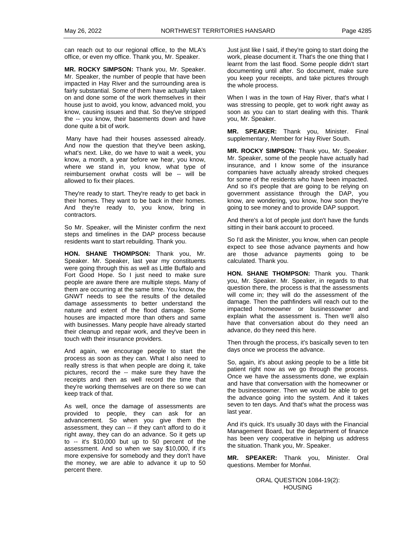can reach out to our regional office, to the MLA's office, or even my office. Thank you, Mr. Speaker.

**MR. ROCKY SIMPSON:** Thank you, Mr. Speaker. Mr. Speaker, the number of people that have been impacted in Hay River and the surrounding area is fairly substantial. Some of them have actually taken on and done some of the work themselves in their house just to avoid, you know, advanced mold, you know, causing issues and that. So they've stripped the -- you know, their basements down and have done quite a bit of work.

Many have had their houses assessed already. And now the question that they've been asking, what's next. Like, do we have to wait a week, you know, a month, a year before we hear, you know, where we stand in, you know, what type of reimbursement orwhat costs will be -- will be allowed to fix their places.

They're ready to start. They're ready to get back in their homes. They want to be back in their homes. And they're ready to, you know, bring in contractors.

So Mr. Speaker, will the Minister confirm the next steps and timelines in the DAP process because residents want to start rebuilding. Thank you.

**HON. SHANE THOMPSON:** Thank you, Mr. Speaker. Mr. Speaker, last year my constituents were going through this as well as Little Buffalo and Fort Good Hope. So I just need to make sure people are aware there are multiple steps. Many of them are occurring at the same time. You know, the GNWT needs to see the results of the detailed damage assessments to better understand the nature and extent of the flood damage. Some houses are impacted more than others and same with businesses. Many people have already started their cleanup and repair work, and they've been in touch with their insurance providers.

And again, we encourage people to start the process as soon as they can. What I also need to really stress is that when people are doing it, take pictures, record the -- make sure they have the receipts and then as well record the time that they're working themselves are on there so we can keep track of that.

As well, once the damage of assessments are provided to people, they can ask for an advancement. So when you give them the assessment, they can -- if they can't afford to do it right away, they can do an advance. So it gets up to -- it's \$10,000 but up to 50 percent of the assessment. And so when we say \$10,000, if it's more expensive for somebody and they don't have the money, we are able to advance it up to 50 percent there.

Just just like I said, if they're going to start doing the work, please document it. That's the one thing that I learnt from the last flood. Some people didn't start documenting until after. So document, make sure you keep your receipts, and take pictures through the whole process.

When I was in the town of Hay River, that's what I was stressing to people, get to work right away as soon as you can to start dealing with this. Thank you, Mr. Speaker.

**MR. SPEAKER:** Thank you, Minister. Final supplementary, Member for Hay River South.

**MR. ROCKY SIMPSON:** Thank you, Mr. Speaker. Mr. Speaker, some of the people have actually had insurance, and I know some of the insurance companies have actually already stroked cheques for some of the residents who have been impacted. And so it's people that are going to be relying on government assistance through the DAP, you know, are wondering, you know, how soon they're going to see money and to provide DAP support.

And there's a lot of people just don't have the funds sitting in their bank account to proceed.

So I'd ask the Minister, you know, when can people expect to see those advance payments and how are those advance payments going to be calculated. Thank you.

**HON. SHANE THOMPSON:** Thank you. Thank you, Mr. Speaker. Mr. Speaker, in regards to that question there, the process is that the assessments will come in; they will do the assessment of the damage. Then the pathfinders will reach out to the impacted homeowner or businessowner and explain what the assessment is. Then we'll also have that conversation about do they need an advance, do they need this here.

Then through the process, it's basically seven to ten days once we process the advance.

So, again, it's about asking people to be a little bit patient right now as we go through the process. Once we have the assessments done, we explain and have that conversation with the homeowner or the businessowner. Then we would be able to get the advance going into the system. And it takes seven to ten days. And that's what the process was last year.

And it's quick. It's usually 30 days with the Financial Management Board, but the department of finance has been very cooperative in helping us address the situation. Thank you, Mr. Speaker.

**MR. SPEAKER:** Thank you, Minister. Oral questions. Member for Monfwi.

> ORAL QUESTION 1084-19(2): **HOUSING**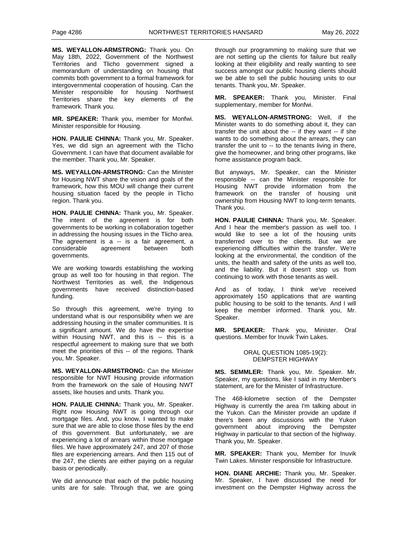**MS. WEYALLON-ARMSTRONG:** Thank you. On May 18th, 2022, Government of the Northwest Territories and Tlicho government signed a memorandum of understanding on housing that commits both government to a formal framework for intergovernmental cooperation of housing. Can the Minister responsible for housing Northwest Territories share the key elements of the framework. Thank you.

**MR. SPEAKER:** Thank you, member for Monfwi. Minister responsible for Housing.

**HON. PAULIE CHINNA:** Thank you, Mr. Speaker. Yes, we did sign an agreement with the Tlicho Government. I can have that document available for the member. Thank you, Mr. Speaker.

**MS. WEYALLON-ARMSTRONG:** Can the Minister for Housing NWT share the vision and goals of the framework, how this MOU will change their current housing situation faced by the people in Tlicho region. Thank you.

**HON. PAULIE CHINNA:** Thank you, Mr. Speaker. The intent of the agreement is for both governments to be working in collaboration together in addressing the housing issues in the Tlicho area. The agreement is a -- is a fair agreement, a considerable agreement between both governments.

We are working towards establishing the working group as well too for housing in that region. The Northwest Territories as well, the Indigenous governments have received distinction-based funding.

So through this agreement, we're trying to understand what is our responsibility when we are addressing housing in the smaller communities. It is a significant amount. We do have the expertise within Housing NWT, and this is -- this is a respectful agreement to making sure that we both meet the priorities of this -- of the regions. Thank you, Mr. Speaker.

**MS. WEYALLON-ARMSTRONG:** Can the Minister responsible for NWT Housing provide information from the framework on the sale of Housing NWT assets, like houses and units. Thank you.

**HON. PAULIE CHINNA:** Thank you, Mr. Speaker. Right now Housing NWT is going through our mortgage files. And, you know, I wanted to make sure that we are able to close those files by the end of this government. But unfortunately, we are experiencing a lot of arrears within those mortgage files. We have approximately 247, and 207 of those files are experiencing arrears. And then 115 out of the 247, the clients are either paying on a regular basis or periodically.

We did announce that each of the public housing units are for sale. Through that, we are going through our programming to making sure that we are not setting up the clients for failure but really looking at their eligibility and really wanting to see success amongst our public housing clients should we be able to sell the public housing units to our tenants. Thank you, Mr. Speaker.

**MR. SPEAKER:** Thank you, Minister. Final supplementary, member for Monfwi.

**MS. WEYALLON-ARMSTRONG:** Well, if the Minister wants to do something about it, they can transfer the unit about the -- if they want -- if she wants to do something about the arrears, they can transfer the unit to -- to the tenants living in there, give the homeowner, and bring other programs, like home assistance program back.

But anyways, Mr. Speaker, can the Minister responsible -- can the Minister responsible for Housing NWT provide information from the framework on the transfer of housing unit ownership from Housing NWT to long-term tenants. Thank you.

**HON. PAULIE CHINNA:** Thank you, Mr. Speaker. And I hear the member's passion as well too. I would like to see a lot of the housing units transferred over to the clients. But we are experiencing difficulties within the transfer. We're looking at the environmental, the condition of the units, the health and safety of the units as well too, and the liability. But it doesn't stop us from continuing to work with those tenants as well.

And as of today, I think we've received approximately 150 applications that are wanting public housing to be sold to the tenants. And I will keep the member informed. Thank you, Mr. Speaker.

**MR. SPEAKER:** Thank you, Minister. Oral questions. Member for Inuvik Twin Lakes.

#### ORAL QUESTION 1085-19(2): DEMPSTER HIGHWAY

**MS. SEMMLER:** Thank you, Mr. Speaker. Mr. Speaker, my questions, like I said in my Member's statement, are for the Minister of Infrastructure.

The 468-kilometre section of the Dempster Highway is currently the area I'm talking about in the Yukon. Can the Minister provide an update if there's been any discussions with the Yukon government about improving the Dempster Highway in particular to that section of the highway. Thank you, Mr. Speaker.

**MR. SPEAKER:** Thank you, Member for Inuvik Twin Lakes. Minister responsible for Infrastructure.

**HON. DIANE ARCHIE:** Thank you, Mr. Speaker. Mr. Speaker, I have discussed the need for investment on the Dempster Highway across the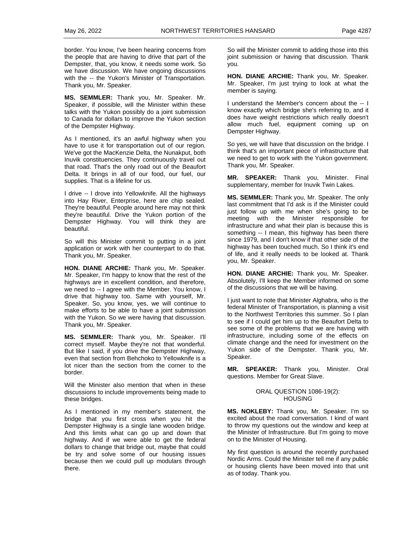border. You know, I've been hearing concerns from the people that are having to drive that part of the Dempster, that, you know, it needs some work. So we have discussion. We have ongoing discussions with the -- the Yukon's Minister of Transportation. Thank you, Mr. Speaker.

**MS. SEMMLER:** Thank you, Mr. Speaker. Mr. Speaker, if possible, will the Minister within these talks with the Yukon possibly do a joint submission to Canada for dollars to improve the Yukon section of the Dempster Highway.

As I mentioned, it's an awful highway when you have to use it for transportation out of our region. We've got the MacKenzie Delta, the Nunakput, both Inuvik constituencies. They continuously travel out that road. That's the only road out of the Beaufort Delta. It brings in all of our food, our fuel, our supplies. That is a lifeline for us.

I drive -- I drove into Yellowknife. All the highways into Hay River, Enterprise, here are chip sealed. They're beautiful. People around here may not think they're beautiful. Drive the Yukon portion of the Dempster Highway. You will think they are beautiful.

So will this Minister commit to putting in a joint application or work with her counterpart to do that. Thank you, Mr. Speaker.

**HON. DIANE ARCHIE:** Thank you, Mr. Speaker. Mr. Speaker, I'm happy to know that the rest of the highways are in excellent condition, and therefore, we need to -- I agree with the Member. You know, I drive that highway too. Same with yourself, Mr. Speaker. So, you know, yes, we will continue to make efforts to be able to have a joint submission with the Yukon. So we were having that discussion. Thank you, Mr. Speaker.

**MS. SEMMLER:** Thank you, Mr. Speaker. I'll correct myself. Maybe they're not that wonderful. But like I said, if you drive the Dempster Highway, even that section from Behchoko to Yellowknife is a lot nicer than the section from the corner to the border.

Will the Minister also mention that when in these discussions to include improvements being made to these bridges.

As I mentioned in my member's statement, the bridge that you first cross when you hit the Dempster Highway is a single lane wooden bridge. And this limits what can go up and down that highway. And if we were able to get the federal dollars to change that bridge out, maybe that could be try and solve some of our housing issues because then we could pull up modulars through there.

So will the Minister commit to adding those into this joint submission or having that discussion. Thank you.

**HON. DIANE ARCHIE:** Thank you, Mr. Speaker. Mr. Speaker, I'm just trying to look at what the member is saying.

I understand the Member's concern about the -- I know exactly which bridge she's referring to, and it does have weight restrictions which really doesn't allow much fuel, equipment coming up on Dempster Highway.

So yes, we will have that discussion on the bridge. I think that's an important piece of infrastructure that we need to get to work with the Yukon government. Thank you, Mr. Speaker.

**MR. SPEAKER:** Thank you, Minister. Final supplementary, member for Inuvik Twin Lakes.

**MS. SEMMLER:** Thank you, Mr. Speaker. The only last commitment that I'd ask is if the Minister could just follow up with me when she's going to be meeting with the Minister responsible for infrastructure and what their plan is because this is something -- I mean, this highway has been there since 1979, and I don't know if that other side of the highway has been touched much. So I think it's end of life, and it really needs to be looked at. Thank you, Mr. Speaker.

**HON. DIANE ARCHIE:** Thank you, Mr. Speaker. Absolutely, I'll keep the Member informed on some of the discussions that we will be having.

I just want to note that Minister Alghabra, who is the federal Minister of Transportation, is planning a visit to the Northwest Territories this summer. So I plan to see if I could get him up to the Beaufort Delta to see some of the problems that we are having with infrastructure, including some of the effects on climate change and the need for investment on the Yukon side of the Dempster. Thank you, Mr. Speaker.

**MR. SPEAKER:** Thank you, Minister. Oral questions. Member for Great Slave.

#### ORAL QUESTION 1086-19(2): HOUSING

**MS. NOKLEBY:** Thank you, Mr. Speaker. I'm so excited about the road conversation. I kind of want to throw my questions out the window and keep at the Minister of Infrastructure. But I'm going to move on to the Minister of Housing.

My first question is around the recently purchased Nordic Arms. Could the Minister tell me if any public or housing clients have been moved into that unit as of today. Thank you.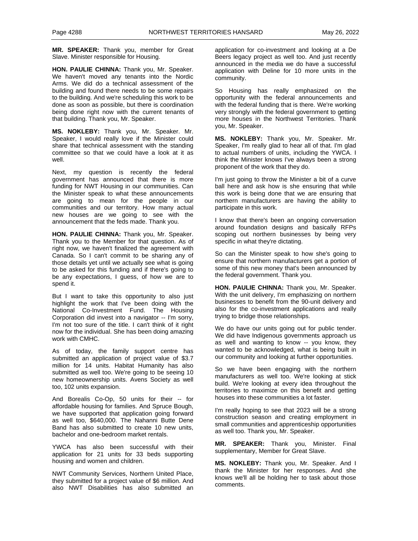**MR. SPEAKER:** Thank you, member for Great Slave. Minister responsible for Housing.

**HON. PAULIE CHINNA:** Thank you, Mr. Speaker. We haven't moved any tenants into the Nordic Arms. We did do a technical assessment of the building and found there needs to be some repairs to the building. And we're scheduling this work to be done as soon as possible, but there is coordination being done right now with the current tenants of that building. Thank you, Mr. Speaker.

**MS. NOKLEBY:** Thank you, Mr. Speaker. Mr. Speaker, I would really love if the Minister could share that technical assessment with the standing committee so that we could have a look at it as well.

Next, my question is recently the federal government has announced that there is more funding for NWT Housing in our communities. Can the Minister speak to what these announcements are going to mean for the people in our communities and our territory. How many actual new houses are we going to see with the announcement that the feds made. Thank you.

**HON. PAULIE CHINNA:** Thank you, Mr. Speaker. Thank you to the Member for that question. As of right now, we haven't finalized the agreement with Canada. So I can't commit to be sharing any of those details yet until we actually see what is going to be asked for this funding and if there's going to be any expectations, I guess, of how we are to spend it.

But I want to take this opportunity to also just highlight the work that I've been doing with the National Co-Investment Fund. The Housing Corporation did invest into a navigator -- I'm sorry, I'm not too sure of the title. I can't think of it right now for the individual. She has been doing amazing work with CMHC.

As of today, the family support centre has submitted an application of project value of \$3.7 million for 14 units. Habitat Humanity has also submitted as well too. We're going to be seeing 10 new homeownership units. Avens Society as well too, 102 units expansion.

And Borealis Co-Op, 50 units for their -- for affordable housing for families. And Spruce Bough, we have supported that application going forward as well too, \$640,000. The Nahanni Butte Dene Band has also submitted to create 10 new units, bachelor and one-bedroom market rentals.

YWCA has also been successful with their application for 21 units for 33 beds supporting housing and women and children.

NWT Community Services, Northern United Place, they submitted for a project value of \$6 million. And also NWT Disabilities has also submitted an application for co-investment and looking at a De Beers legacy project as well too. And just recently announced in the media we do have a successful application with Deline for 10 more units in the community.

So Housing has really emphasized on the opportunity with the federal announcements and with the federal funding that is there. We're working very strongly with the federal government to getting more houses in the Northwest Territories. Thank you, Mr. Speaker.

**MS. NOKLEBY:** Thank you, Mr. Speaker. Mr. Speaker, I'm really glad to hear all of that. I'm glad to actual numbers of units, including the YWCA. I think the Minister knows I've always been a strong proponent of the work that they do.

I'm just going to throw the Minister a bit of a curve ball here and ask how is she ensuring that while this work is being done that we are ensuring that northern manufacturers are having the ability to participate in this work.

I know that there's been an ongoing conversation around foundation designs and basically RFPs scoping out northern businesses by being very specific in what they're dictating.

So can the Minister speak to how she's going to ensure that northern manufacturers get a portion of some of this new money that's been announced by the federal government. Thank you.

**HON. PAULIE CHINNA:** Thank you, Mr. Speaker. With the unit delivery, I'm emphasizing on northern businesses to benefit from the 90-unit delivery and also for the co-investment applications and really trying to bridge those relationships.

We do have our units going out for public tender. We did have Indigenous governments approach us as well and wanting to know -- you know, they wanted to be acknowledged, what is being built in our community and looking at further opportunities.

So we have been engaging with the northern manufacturers as well too. We're looking at stick build. We're looking at every idea throughout the territories to maximize on this benefit and getting houses into these communities a lot faster.

I'm really hoping to see that 2023 will be a strong construction season and creating employment in small communities and apprenticeship opportunities as well too. Thank you, Mr. Speaker.

**MR. SPEAKER:** Thank you, Minister. Final supplementary, Member for Great Slave.

**MS. NOKLEBY:** Thank you, Mr. Speaker. And I thank the Minister for her responses. And she knows we'll all be holding her to task about those comments.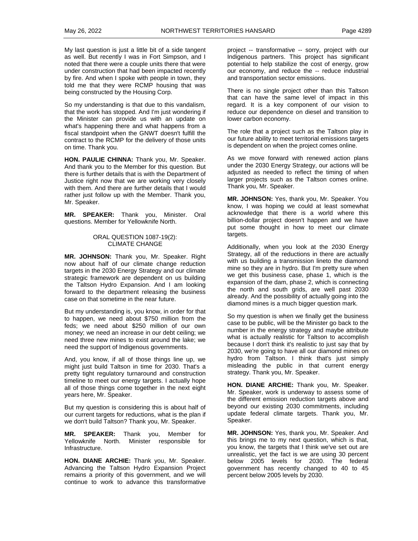My last question is just a little bit of a side tangent as well. But recently I was in Fort Simpson, and I noted that there were a couple units there that were under construction that had been impacted recently by fire. And when I spoke with people in town, they told me that they were RCMP housing that was being constructed by the Housing Corp.

So my understanding is that due to this vandalism, that the work has stopped. And I'm just wondering if the Minister can provide us with an update on what's happening there and what happens from a fiscal standpoint when the GNWT doesn't fulfill the contract to the RCMP for the delivery of those units on time. Thank you.

**HON. PAULIE CHINNA:** Thank you, Mr. Speaker. And thank you to the Member for this question. But there is further details that is with the Department of Justice right now that we are working very closely with them. And there are further details that I would rather just follow up with the Member. Thank you, Mr. Speaker.

**MR. SPEAKER:** Thank you, Minister. Oral questions. Member for Yellowknife North.

### ORAL QUESTION 1087-19(2): CLIMATE CHANGE

**MR. JOHNSON:** Thank you, Mr. Speaker. Right now about half of our climate change reduction targets in the 2030 Energy Strategy and our climate strategic framework are dependent on us building the Taltson Hydro Expansion. And I am looking forward to the department releasing the business case on that sometime in the near future.

But my understanding is, you know, in order for that to happen, we need about \$750 million from the feds; we need about \$250 million of our own money; we need an increase in our debt ceiling; we need three new mines to exist around the lake; we need the support of Indigenous governments.

And, you know, if all of those things line up, we might just build Taltson in time for 2030. That's a pretty tight regulatory turnaround and construction timeline to meet our energy targets. I actually hope all of those things come together in the next eight years here, Mr. Speaker.

But my question is considering this is about half of our current targets for reductions, what is the plan if we don't build Taltson? Thank you, Mr. Speaker.

**MR. SPEAKER:** Thank you, Member for Yellowknife North. Minister responsible for Infrastructure.

**HON. DIANE ARCHIE:** Thank you, Mr. Speaker. Advancing the Taltson Hydro Expansion Project remains a priority of this government, and we will continue to work to advance this transformative

project -- transformative -- sorry, project with our Indigenous partners. This project has significant potential to help stabilize the cost of energy, grow our economy, and reduce the -- reduce industrial and transportation sector emissions.

There is no single project other than this Taltson that can have the same level of impact in this regard. It is a key component of our vision to reduce our dependence on diesel and transition to lower carbon economy.

The role that a project such as the Taltson play in our future ability to meet territorial emissions targets is dependent on when the project comes online.

As we move forward with renewed action plans under the 2030 Energy Strategy, our actions will be adjusted as needed to reflect the timing of when larger projects such as the Taltson comes online. Thank you, Mr. Speaker.

**MR. JOHNSON:** Yes, thank you, Mr. Speaker. You know, I was hoping we could at least somewhat acknowledge that there is a world where this billion-dollar project doesn't happen and we have put some thought in how to meet our climate targets.

Additionally, when you look at the 2030 Energy Strategy, all of the reductions in there are actually with us building a transmission lineto the diamond mine so they are in hydro. But I'm pretty sure when we get this business case, phase 1, which is the expansion of the dam, phase 2, which is connecting the north and south grids, are well past 2030 already. And the possibility of actually going into the diamond mines is a much bigger question mark.

So my question is when we finally get the business case to be public, will be the Minister go back to the number in the energy strategy and maybe attribute what is actually realistic for Taltson to accomplish because I don't think it's realistic to just say that by 2030, we're going to have all our diamond mines on hydro from Taltson. I think that's just simply misleading the public in that current energy strategy. Thank you, Mr. Speaker.

**HON. DIANE ARCHIE:** Thank you, Mr. Speaker. Mr. Speaker, work is underway to assess some of the different emission reduction targets above and beyond our existing 2030 commitments, including update federal climate targets. Thank you, Mr. Speaker.

**MR. JOHNSON:** Yes, thank you, Mr. Speaker. And this brings me to my next question, which is that, you know, the targets that I think we've set out are unrealistic, yet the fact is we are using 30 percent below 2005 levels for 2030. The federal government has recently changed to 40 to 45 percent below 2005 levels by 2030.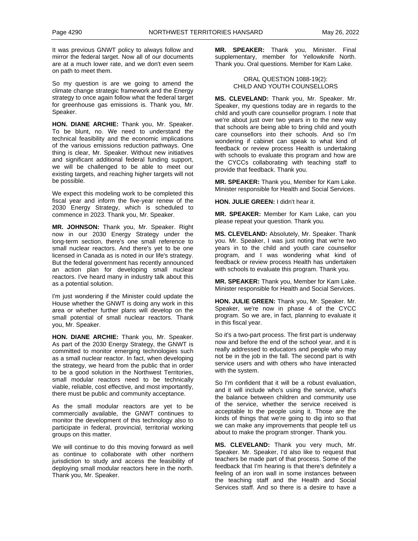It was previous GNWT policy to always follow and mirror the federal target. Now all of our documents are at a much lower rate, and we don't even seem on path to meet them.

So my question is are we going to amend the climate change strategic framework and the Energy strategy to once again follow what the federal target for greenhouse gas emissions is. Thank you, Mr. Speaker.

**HON. DIANE ARCHIE:** Thank you, Mr. Speaker. To be blunt, no. We need to understand the technical feasibility and the economic implications of the various emissions reduction pathways. One thing is clear, Mr. Speaker. Without new initiatives and significant additional federal funding support, we will be challenged to be able to meet our existing targets, and reaching higher targets will not be possible.

We expect this modeling work to be completed this fiscal year and inform the five-year renew of the 2030 Energy Strategy, which is scheduled to commence in 2023. Thank you, Mr. Speaker.

**MR. JOHNSON:** Thank you, Mr. Speaker. Right now in our 2030 Energy Strategy under the long-term section, there's one small reference to small nuclear reactors. And there's yet to be one licensed in Canada as is noted in our life's strategy. But the federal government has recently announced an action plan for developing small nuclear reactors. I've heard many in industry talk about this as a potential solution.

I'm just wondering if the Minister could update the House whether the GNWT is doing any work in this area or whether further plans will develop on the small potential of small nuclear reactors. Thank you, Mr. Speaker.

**HON. DIANE ARCHIE:** Thank you, Mr. Speaker. As part of the 2030 Energy Strategy, the GNWT is committed to monitor emerging technologies such as a small nuclear reactor. In fact, when developing the strategy, we heard from the public that in order to be a good solution in the Northwest Territories, small modular reactors need to be technically viable, reliable, cost effective, and most importantly, there must be public and community acceptance.

As the small modular reactors are yet to be commercially available, the GNWT continues to monitor the development of this technology also to participate in federal, provincial, territorial working groups on this matter.

We will continue to do this moving forward as well as continue to collaborate with other northern jurisdiction to study and access the feasibility of deploying small modular reactors here in the north. Thank you, Mr. Speaker.

**MR. SPEAKER:** Thank you, Minister. Final supplementary, member for Yellowknife North. Thank you. Oral questions. Member for Kam Lake.

#### ORAL QUESTION 1088-19(2): CHILD AND YOUTH COUNSELLORS

**MS. CLEVELAND:** Thank you, Mr. Speaker. Mr. Speaker, my questions today are in regards to the child and youth care counsellor program. I note that we're about just over two years in to the new way that schools are being able to bring child and youth care counsellors into their schools. And so I'm wondering if cabinet can speak to what kind of feedback or review process Health is undertaking with schools to evaluate this program and how are the CYCCs collaborating with teaching staff to provide that feedback. Thank you.

**MR. SPEAKER:** Thank you, Member for Kam Lake. Minister responsible for Health and Social Services.

**HON. JULIE GREEN:** I didn't hear it.

**MR. SPEAKER:** Member for Kam Lake, can you please repeat your question. Thank you.

**MS. CLEVELAND:** Absolutely, Mr. Speaker. Thank you. Mr. Speaker, I was just noting that we're two years in to the child and youth care counsellor program, and I was wondering what kind of feedback or review process Health has undertaken with schools to evaluate this program. Thank you.

**MR. SPEAKER:** Thank you, Member for Kam Lake. Minister responsible for Health and Social Services.

**HON. JULIE GREEN:** Thank you, Mr. Speaker. Mr. Speaker, we're now in phase 4 of the CYCC program. So we are, in fact, planning to evaluate it in this fiscal year.

So it's a two-part process. The first part is underway now and before the end of the school year, and it is really addressed to educators and people who may not be in the job in the fall. The second part is with service users and with others who have interacted with the system.

So I'm confident that it will be a robust evaluation, and it will include who's using the service, what's the balance between children and community use of the service, whether the service received is acceptable to the people using it. Those are the kinds of things that we're going to dig into so that we can make any improvements that people tell us about to make the program stronger. Thank you.

**MS. CLEVELAND:** Thank you very much, Mr. Speaker. Mr. Speaker, I'd also like to request that teachers be made part of that process. Some of the feedback that I'm hearing is that there's definitely a feeling of an iron wall in some instances between the teaching staff and the Health and Social Services staff. And so there is a desire to have a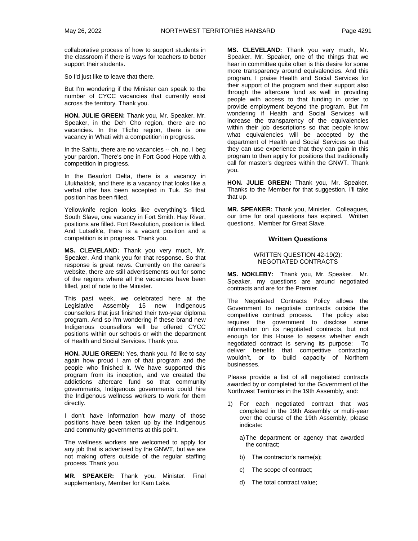collaborative process of how to support students in the classroom if there is ways for teachers to better support their students.

So I'd just like to leave that there.

But I'm wondering if the Minister can speak to the number of CYCC vacancies that currently exist across the territory. Thank you.

**HON. JULIE GREEN:** Thank you, Mr. Speaker. Mr. Speaker, in the Deh Cho region, there are no vacancies. In the Tlicho region, there is one vacancy in Whati with a competition in progress.

In the Sahtu, there are no vacancies -- oh, no. I beg your pardon. There's one in Fort Good Hope with a competition in progress.

In the Beaufort Delta, there is a vacancy in Ulukhaktok, and there is a vacancy that looks like a verbal offer has been accepted in Tuk. So that position has been filled.

Yellowknife region looks like everything's filled. South Slave, one vacancy in Fort Smith. Hay River, positions are filled. Fort Resolution, position is filled. And Lutselk'e, there is a vacant position and a competition is in progress. Thank you.

**MS. CLEVELAND:** Thank you very much, Mr. Speaker. And thank you for that response. So that response is great news. Currently on the career's website, there are still advertisements out for some of the regions where all the vacancies have been filled, just of note to the Minister.

This past week, we celebrated here at the Legislative Assembly 15 new Indigenous counsellors that just finished their two-year diploma program. And so I'm wondering if these brand new Indigenous counsellors will be offered CYCC positions within our schools or with the department of Health and Social Services. Thank you.

**HON. JULIE GREEN:** Yes, thank you. I'd like to say again how proud I am of that program and the people who finished it. We have supported this program from its inception, and we created the addictions aftercare fund so that community governments, Indigenous governments could hire the Indigenous wellness workers to work for them directly.

I don't have information how many of those positions have been taken up by the Indigenous and community governments at this point.

The wellness workers are welcomed to apply for any job that is advertised by the GNWT, but we are not making offers outside of the regular staffing process. Thank you.

**MR. SPEAKER:** Thank you, Minister. Final supplementary, Member for Kam Lake.

**MS. CLEVELAND:** Thank you very much, Mr. Speaker. Mr. Speaker, one of the things that we hear in committee quite often is this desire for some more transparency around equivalencies. And this program, I praise Health and Social Services for their support of the program and their support also through the aftercare fund as well in providing people with access to that funding in order to provide employment beyond the program. But I'm wondering if Health and Social Services will increase the transparency of the equivalencies within their job descriptions so that people know what equivalencies will be accepted by the department of Health and Social Services so that they can use experience that they can gain in this program to then apply for positions that traditionally call for master's degrees within the GNWT. Thank you.

**HON. JULIE GREEN:** Thank you, Mr. Speaker. Thanks to the Member for that suggestion. I'll take that up.

**MR. SPEAKER:** Thank you, Minister. Colleagues, our time for oral questions has expired. Written questions. Member for Great Slave.

#### **Written Questions**

#### WRITTEN QUESTION 42-19(2): NEGOTIATED CONTRACTS

**MS. NOKLEBY:** Thank you, Mr. Speaker. Mr. Speaker, my questions are around negotiated contracts and are for the Premier.

The Negotiated Contracts Policy allows the Government to negotiate contracts outside the competitive contract process. The policy also requires the government to disclose some information on its negotiated contracts, but not enough for this House to assess whether each negotiated contract is serving its purpose: To deliver benefits that competitive contracting wouldn't, or to build capacity of Northern businesses.

Please provide a list of all negotiated contracts awarded by or completed for the Government of the Northwest Territories in the 19th Assembly, and:

- 1) For each negotiated contract that was completed in the 19th Assembly or multi-year over the course of the 19th Assembly, please indicate:
	- a)The department or agency that awarded the contract;
	- b) The contractor's name(s);
	- c) The scope of contract;
	- d) The total contract value;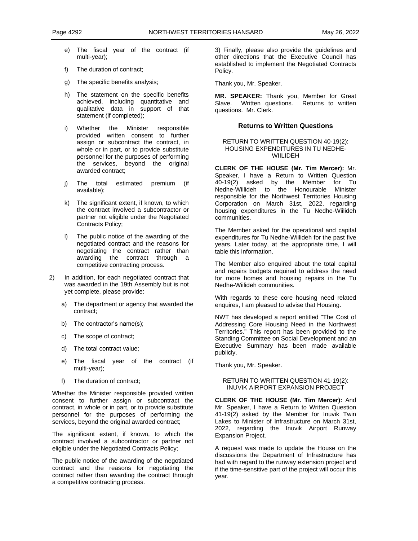- e) The fiscal year of the contract (if multi-year);
- f) The duration of contract;
- g) The specific benefits analysis;
- h) The statement on the specific benefits achieved, including quantitative and qualitative data in support of that statement (if completed);
- i) Whether the Minister responsible provided written consent to further assign or subcontract the contract, in whole or in part, or to provide substitute personnel for the purposes of performing the services, beyond the original awarded contract;
- j) The total estimated premium (if available);
- k) The significant extent, if known, to which the contract involved a subcontractor or partner not eligible under the Negotiated Contracts Policy;
- l) The public notice of the awarding of the negotiated contract and the reasons for negotiating the contract rather than awarding the contract through a competitive contracting process.
- 2) In addition, for each negotiated contract that was awarded in the 19th Assembly but is not yet complete, please provide:
	- a) The department or agency that awarded the contract;
	- b) The contractor's name(s);
	- c) The scope of contract;
	- d) The total contract value;
	- e) The fiscal year of the contract (if multi-year);
	- f) The duration of contract;

Whether the Minister responsible provided written consent to further assign or subcontract the contract, in whole or in part, or to provide substitute personnel for the purposes of performing the services, beyond the original awarded contract;

The significant extent, if known, to which the contract involved a subcontractor or partner not eligible under the Negotiated Contracts Policy;

The public notice of the awarding of the negotiated contract and the reasons for negotiating the contract rather than awarding the contract through a competitive contracting process.

3) Finally, please also provide the guidelines and other directions that the Executive Council has established to implement the Negotiated Contracts Policy.

Thank you, Mr. Speaker.

**MR. SPEAKER:** Thank you, Member for Great Slave. Written questions. Returns to written questions. Mr. Clerk.

#### **Returns to Written Questions**

#### RETURN TO WRITTEN QUESTION 40-19(2): HOUSING EXPENDITURES IN TU NEDHE-**WIILIDEH**

**CLERK OF THE HOUSE (Mr. Tim Mercer):** Mr. Speaker, I have a Return to Written Question 40-19(2) asked by the Member for Tu Nedhe-Wiilideh to the Honourable Minister responsible for the Northwest Territories Housing Corporation on March 31st, 2022, regarding housing expenditures in the Tu Nedhe-Wiilideh communities.

The Member asked for the operational and capital expenditures for Tu Nedhe-Wiilideh for the past five years. Later today, at the appropriate time, I will table this information.

The Member also enquired about the total capital and repairs budgets required to address the need for more homes and housing repairs in the Tu Nedhe-Wiilideh communities.

With regards to these core housing need related enquires, I am pleased to advise that Housing.

NWT has developed a report entitled "The Cost of Addressing Core Housing Need in the Northwest Territories." This report has been provided to the Standing Committee on Social Development and an Executive Summary has been made available publicly.

Thank you, Mr. Speaker.

#### RETURN TO WRITTEN QUESTION 41-19(2): INUVIK AIRPORT EXPANSION PROJECT

**CLERK OF THE HOUSE (Mr. Tim Mercer):** And Mr. Speaker, I have a Return to Written Question 41-19(2) asked by the Member for Inuvik Twin Lakes to Minister of Infrastructure on March 31st, 2022, regarding the Inuvik Airport Runway Expansion Project.

A request was made to update the House on the discussions the Department of Infrastructure has had with regard to the runway extension project and if the time-sensitive part of the project will occur this year.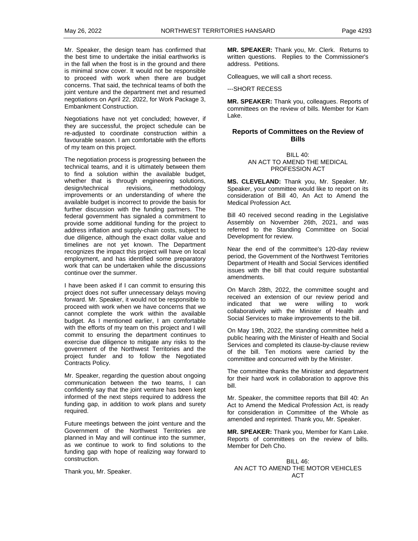Mr. Speaker, the design team has confirmed that the best time to undertake the initial earthworks is in the fall when the frost is in the ground and there is minimal snow cover. It would not be responsible to proceed with work when there are budget concerns. That said, the technical teams of both the joint venture and the department met and resumed negotiations on April 22, 2022, for Work Package 3, Embankment Construction.

Negotiations have not yet concluded; however, if they are successful, the project schedule can be re-adjusted to coordinate construction within a favourable season. I am comfortable with the efforts of my team on this project.

The negotiation process is progressing between the technical teams, and it is ultimately between them to find a solution within the available budget, whether that is through engineering solutions, design/technical revisions, methodology improvements or an understanding of where the available budget is incorrect to provide the basis for further discussion with the funding partners. The federal government has signaled a commitment to provide some additional funding for the project to address inflation and supply-chain costs, subject to due diligence, although the exact dollar value and timelines are not yet known. The Department recognizes the impact this project will have on local employment, and has identified some preparatory work that can be undertaken while the discussions continue over the summer.

I have been asked if I can commit to ensuring this project does not suffer unnecessary delays moving forward. Mr. Speaker, it would not be responsible to proceed with work when we have concerns that we cannot complete the work within the available budget. As I mentioned earlier, I am comfortable with the efforts of my team on this project and I will commit to ensuring the department continues to exercise due diligence to mitigate any risks to the government of the Northwest Territories and the project funder and to follow the Negotiated Contracts Policy.

Mr. Speaker, regarding the question about ongoing communication between the two teams, I can confidently say that the joint venture has been kept informed of the next steps required to address the funding gap, in addition to work plans and surety required.

Future meetings between the joint venture and the Government of the Northwest Territories are planned in May and will continue into the summer, as we continue to work to find solutions to the funding gap with hope of realizing way forward to construction.

Thank you, Mr. Speaker.

**MR. SPEAKER:** Thank you, Mr. Clerk. Returns to written questions. Replies to the Commissioner's address. Petitions.

Colleagues, we will call a short recess.

---SHORT RECESS

**MR. SPEAKER:** Thank you, colleagues. Reports of committees on the review of bills. Member for Kam Lake.

## **Reports of Committees on the Review of Bills**

#### BILL 40: AN ACT TO AMEND THE MEDICAL PROFESSION ACT

**MS. CLEVELAND:** Thank you, Mr. Speaker. Mr. Speaker, your committee would like to report on its consideration of Bill 40, An Act to Amend the Medical Profession Act.

Bill 40 received second reading in the Legislative Assembly on November 26th, 2021, and was referred to the Standing Committee on Social Development for review.

Near the end of the committee's 120-day review period, the Government of the Northwest Territories Department of Health and Social Services identified issues with the bill that could require substantial amendments.

On March 28th, 2022, the committee sought and received an extension of our review period and indicated that we were willing to work collaboratively with the Minister of Health and Social Services to make improvements to the bill.

On May 19th, 2022, the standing committee held a public hearing with the Minister of Health and Social Services and completed its clause-by-clause review of the bill. Ten motions were carried by the committee and concurred with by the Minister.

The committee thanks the Minister and department for their hard work in collaboration to approve this bill.

Mr. Speaker, the committee reports that Bill 40: An Act to Amend the Medical Profession Act, is ready for consideration in Committee of the Whole as amended and reprinted. Thank you, Mr. Speaker.

**MR. SPEAKER:** Thank you, Member for Kam Lake. Reports of committees on the review of bills. Member for Deh Cho.

BILL 46: AN ACT TO AMEND THE MOTOR VEHICLES ACT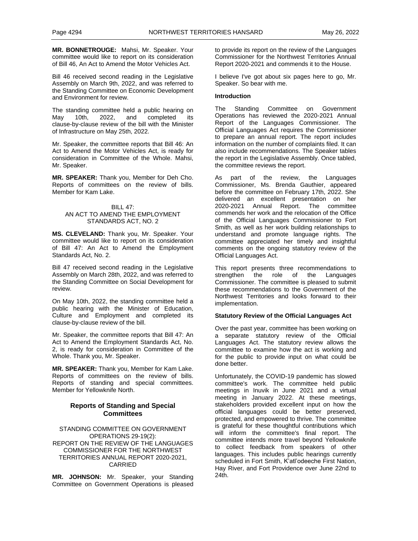**MR. BONNETROUGE:** Mahsi, Mr. Speaker. Your committee would like to report on its consideration of Bill 46, An Act to Amend the Motor Vehicles Act.

Bill 46 received second reading in the Legislative Assembly on March 9th, 2022, and was referred to the Standing Committee on Economic Development and Environment for review.

The standing committee held a public hearing on<br>Mav 10th, 2022, and completed its 10th, 2022, and completed its clause-by-clause review of the bill with the Minister of Infrastructure on May 25th, 2022.

Mr. Speaker, the committee reports that Bill 46: An Act to Amend the Motor Vehicles Act, is ready for consideration in Committee of the Whole. Mahsi, Mr. Speaker.

**MR. SPEAKER:** Thank you, Member for Deh Cho. Reports of committees on the review of bills. Member for Kam Lake.

#### BILL 47: AN ACT TO AMEND THE EMPLOYMENT STANDARDS ACT, NO. 2

**MS. CLEVELAND:** Thank you, Mr. Speaker. Your committee would like to report on its consideration of Bill 47: An Act to Amend the Employment Standards Act, No. 2.

Bill 47 received second reading in the Legislative Assembly on March 28th, 2022, and was referred to the Standing Committee on Social Development for review.

On May 10th, 2022, the standing committee held a public hearing with the Minister of Education, Culture and Employment and completed its clause-by-clause review of the bill.

Mr. Speaker, the committee reports that Bill 47: An Act to Amend the Employment Standards Act, No. 2, is ready for consideration in Committee of the Whole. Thank you, Mr. Speaker.

**MR. SPEAKER:** Thank you, Member for Kam Lake. Reports of committees on the review of bills. Reports of standing and special committees. Member for Yellowknife North.

## **Reports of Standing and Special Committees**

STANDING COMMITTEE ON GOVERNMENT OPERATIONS 29-19(2): REPORT ON THE REVIEW OF THE LANGUAGES COMMISSIONER FOR THE NORTHWEST TERRITORIES ANNUAL REPORT 2020-2021, CARRIED

**MR. JOHNSON:** Mr. Speaker, your Standing Committee on Government Operations is pleased to provide its report on the review of the Languages Commissioner for the Northwest Territories Annual Report 2020-2021 and commends it to the House.

I believe I've got about six pages here to go, Mr. Speaker. So bear with me.

#### **Introduction**

The Standing Committee on Government Operations has reviewed the 2020-2021 Annual Report of the Languages Commissioner. The Official Languages Act requires the Commissioner to prepare an annual report. The report includes information on the number of complaints filed. It can also include recommendations. The Speaker tables the report in the Legislative Assembly. Once tabled, the committee reviews the report.

As part of the review, the Languages Commissioner, Ms. Brenda Gauthier, appeared before the committee on February 17th, 2022. She delivered an excellent presentation on her 2020-2021 Annual Report. The committee commends her work and the relocation of the Office of the Official Languages Commissioner to Fort Smith, as well as her work building relationships to understand and promote language rights. The committee appreciated her timely and insightful comments on the ongoing statutory review of the Official Languages Act.

This report presents three recommendations to strengthen the role of the Languages strengthen the role of the Commissioner. The committee is pleased to submit these recommendations to the Government of the Northwest Territories and looks forward to their implementation.

### **Statutory Review of the Official Languages Act**

Over the past year, committee has been working on a separate statutory review of the Official Languages Act. The statutory review allows the committee to examine how the act is working and for the public to provide input on what could be done better.

Unfortunately, the COVID-19 pandemic has slowed committee's work. The committee held public meetings in Inuvik in June 2021 and a virtual meeting in January 2022. At these meetings, stakeholders provided excellent input on how the official languages could be better preserved, protected, and empowered to thrive. The committee is grateful for these thoughtful contributions which will inform the committee's final report. The committee intends more travel beyond Yellowknife to collect feedback from speakers of other languages. This includes public hearings currently scheduled in Fort Smith, K'atl'odeeche First Nation, Hay River, and Fort Providence over June 22nd to 24th.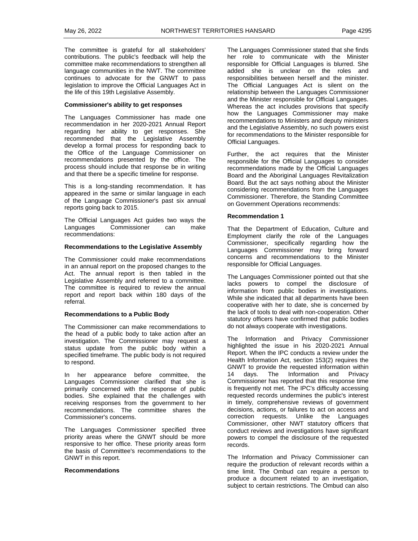The committee is grateful for all stakeholders' contributions. The public's feedback will help the committee make recommendations to strengthen all language communities in the NWT. The committee continues to advocate for the GNWT to pass legislation to improve the Official Languages Act in the life of this 19th Legislative Assembly.

#### **Commissioner's ability to get responses**

The Languages Commissioner has made one recommendation in her 2020-2021 Annual Report regarding her ability to get responses. She recommended that the Legislative Assembly develop a formal process for responding back to the Office of the Language Commissioner on recommendations presented by the office. The process should include that response be in writing and that there be a specific timeline for response.

This is a long-standing recommendation. It has appeared in the same or similar language in each of the Language Commissioner's past six annual reports going back to 2015.

The Official Languages Act guides two ways the Languages Commissioner can make recommendations:

#### **Recommendations to the Legislative Assembly**

The Commissioner could make recommendations in an annual report on the proposed changes to the Act. The annual report is then tabled in the Legislative Assembly and referred to a committee. The committee is required to review the annual report and report back within 180 days of the referral.

#### **Recommendations to a Public Body**

The Commissioner can make recommendations to the head of a public body to take action after an investigation. The Commissioner may request a status update from the public body within a specified timeframe. The public body is not required to respond.

In her appearance before committee, the Languages Commissioner clarified that she is primarily concerned with the response of public bodies. She explained that the challenges with receiving responses from the government to her recommendations. The committee shares the Commissioner's concerns.

The Languages Commissioner specified three priority areas where the GNWT should be more responsive to her office. These priority areas form the basis of Committee's recommendations to the GNWT in this report.

#### **Recommendations**

The Languages Commissioner stated that she finds her role to communicate with the Minister responsible for Official Languages is blurred. She added she is unclear on the roles and responsibilities between herself and the minister. The Official Languages Act is silent on the relationship between the Languages Commissioner and the Minister responsible for Official Languages. Whereas the act includes provisions that specify how the Languages Commissioner may make recommendations to Ministers and deputy ministers and the Legislative Assembly, no such powers exist for recommendations to the Minister responsible for Official Languages.

Further, the act requires that the Minister responsible for the Official Languages to consider recommendations made by the Official Languages Board and the Aboriginal Languages Revitalization Board. But the act says nothing about the Minister considering recommendations from the Languages Commissioner. Therefore, the Standing Committee on Government Operations recommends:

#### **Recommendation 1**

That the Department of Education, Culture and Employment clarify the role of the Languages Commissioner, specifically regarding how the Languages Commissioner may bring forward concerns and recommendations to the Minister responsible for Official Languages.

The Languages Commissioner pointed out that she lacks powers to compel the disclosure of information from public bodies in investigations. While she indicated that all departments have been cooperative with her to date, she is concerned by the lack of tools to deal with non-cooperation. Other statutory officers have confirmed that public bodies do not always cooperate with investigations.

The Information and Privacy Commissioner highlighted the issue in his 2020-2021 Annual Report. When the IPC conducts a review under the Health Information Act, section 153(2) requires the GNWT to provide the requested information within 14 days. The Information and Privacy Commissioner has reported that this response time is frequently not met. The IPC's difficulty accessing requested records undermines the public's interest in timely, comprehensive reviews of government decisions, actions, or failures to act on access and correction requests. Unlike the Languages Commissioner, other NWT statutory officers that conduct reviews and investigations have significant powers to compel the disclosure of the requested records.

The Information and Privacy Commissioner can require the production of relevant records within a time limit. The Ombud can require a person to produce a document related to an investigation, subject to certain restrictions. The Ombud can also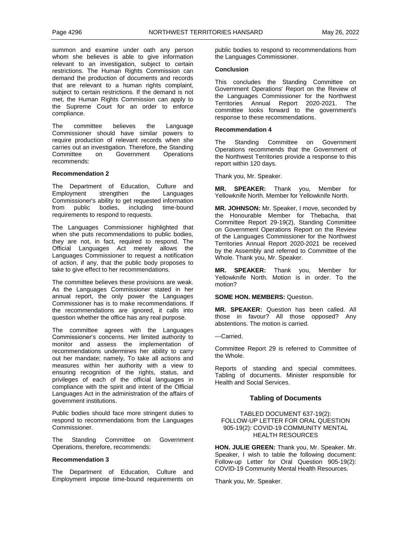summon and examine under oath any person whom she believes is able to give information relevant to an investigation, subject to certain restrictions. The Human Rights Commission can demand the production of documents and records that are relevant to a human rights complaint, subject to certain restrictions. If the demand is not met, the Human Rights Commission can apply to the Supreme Court for an order to enforce compliance.

The committee believes the Language Commissioner should have similar powers to require production of relevant records when she carries out an investigation. Therefore, the Standing Committee on Government Operations recommends:

#### **Recommendation 2**

The Department of Education, Culture and Employment strengthen the Languages Commissioner's ability to get requested information from public bodies, including time-bound requirements to respond to requests.

The Languages Commissioner highlighted that when she puts recommendations to public bodies, they are not, in fact, required to respond. The Official Languages Act merely allows the Languages Commissioner to request a notification of action, if any, that the public body proposes to take to give effect to her recommendations.

The committee believes these provisions are weak. As the Languages Commissioner stated in her annual report, the only power the Languages Commissioner has is to make recommendations. If the recommendations are ignored, it calls into question whether the office has any real purpose.

The committee agrees with the Languages Commissioner's concerns. Her limited authority to monitor and assess the implementation of recommendations undermines her ability to carry out her mandate; namely, To take all actions and measures within her authority with a view to ensuring recognition of the rights, status, and privileges of each of the official languages in compliance with the spirit and intent of the Official Languages Act in the administration of the affairs of government institutions.

Public bodies should face more stringent duties to respond to recommendations from the Languages Commissioner.

The Standing Committee on Government Operations, therefore, recommends:

#### **Recommendation 3**

The Department of Education, Culture and Employment impose time-bound requirements on public bodies to respond to recommendations from the Languages Commissioner.

#### **Conclusion**

This concludes the Standing Committee on Government Operations' Report on the Review of the Languages Commissioner for the Northwest Territories Annual Report 2020-2021. The committee looks forward to the government's response to these recommendations.

#### **Recommendation 4**

The Standing Committee on Government Operations recommends that the Government of the Northwest Territories provide a response to this report within 120 days.

Thank you, Mr. Speaker.

**MR. SPEAKER:** Thank you, Member for Yellowknife North. Member for Yellowknife North.

**MR. JOHNSON:** Mr. Speaker, I move, seconded by the Honourable Member for Thebacha, that Committee Report 29-19(2), Standing Committee on Government Operations Report on the Review of the Languages Commissioner for the Northwest Territories Annual Report 2020-2021 be received by the Assembly and referred to Committee of the Whole. Thank you, Mr. Speaker.

**MR. SPEAKER:** Thank you, Member for Yellowknife North. Motion is in order. To the motion?

#### **SOME HON. MEMBERS:** Question.

**MR. SPEAKER:** Question has been called. All those in favour? All those opposed? Any abstentions. The motion is carried.

---Carried.

Committee Report 29 is referred to Committee of the Whole.

Reports of standing and special committees. Tabling of documents. Minister responsible for Health and Social Services.

## **Tabling of Documents**

TABLED DOCUMENT 637-19(2): FOLLOW-UP LETTER FOR ORAL QUESTION 905-19(2): COVID-19 COMMUNITY MENTAL HEALTH RESOURCES

**HON. JULIE GREEN:** Thank you, Mr. Speaker. Mr. Speaker, I wish to table the following document: Follow-up Letter for Oral Question 905-19(2): COVID-19 Community Mental Health Resources.

Thank you, Mr. Speaker.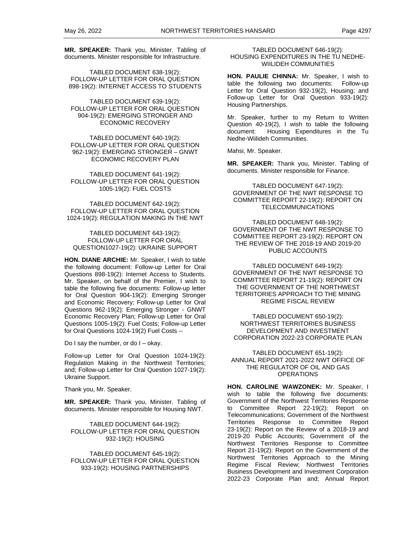**MR. SPEAKER:** Thank you, Minister. Tabling of documents. Minister responsible for Infrastructure.

TABLED DOCUMENT 638-19(2): FOLLOW-UP LETTER FOR ORAL QUESTION 898-19(2): INTERNET ACCESS TO STUDENTS

TABLED DOCUMENT 639-19(2): FOLLOW-UP LETTER FOR ORAL QUESTION 904-19(2): EMERGING STRONGER AND ECONOMIC RECOVERY

TABLED DOCUMENT 640-19(2): FOLLOW-UP LETTER FOR ORAL QUESTION 962-19(2): EMERGING STRONGER – GNWT ECONOMIC RECOVERY PLAN

TABLED DOCUMENT 641-19(2): FOLLOW-UP LETTER FOR ORAL QUESTION 1005-19(2): FUEL COSTS

TABLED DOCUMENT 642-19(2): FOLLOW-UP LETTER FOR ORAL QUESTION 1024-19(2): REGULATION MAKING IN THE NWT

#### TABLED DOCUMENT 643-19(2): FOLLOW-UP LETTER FOR ORAL QUESTION1027-19(2): UKRAINE SUPPORT

**HON. DIANE ARCHIE:** Mr. Speaker, I wish to table the following document: Follow-up Letter for Oral Questions 898-19(2): Internet Access to Students. Mr. Speaker, on behalf of the Premier, I wish to table the following five documents: Follow-up letter for Oral Question 904-19(2): Emerging Stronger and Economic Recovery; Follow-up Letter for Oral Questions 962-19(2): Emerging Stronger - GNWT Economic Recovery Plan; Follow-up Letter for Oral Questions 1005-19(2): Fuel Costs; Follow-up Letter for Oral Questions 1024-19(2) Fuel Costs --

Do I say the number, or do  $I - okay$ .

Follow-up Letter for Oral Question 1024-19(2): Regulation Making in the Northwest Territories; and; Follow-up Letter for Oral Question 1027-19(2): Ukraine Support.

Thank you, Mr. Speaker.

**MR. SPEAKER:** Thank you, Minister. Tabling of documents. Minister responsible for Housing NWT.

TABLED DOCUMENT 644-19(2): FOLLOW-UP LETTER FOR ORAL QUESTION 932-19(2): HOUSING

TABLED DOCUMENT 645-19(2): FOLLOW-UP LETTER FOR ORAL QUESTION 933-19(2): HOUSING PARTNERSHIPS

TABLED DOCUMENT 646-19(2): HOUSING EXPENDITURES IN THE TU NEDHE-WIILIDEH COMMUNITIES

**HON. PAULIE CHINNA:** Mr. Speaker, I wish to table the following two documents: Follow-up Letter for Oral Question 932-19(2), Housing; and Follow-up Letter for Oral Question 933-19(2): Housing Partnerships.

Mr. Speaker, further to my Return to Written Question 40-19(2), I wish to table the following document: Housing Expenditures in the Tu Nedhe-Wiilideh Communities.

Mahsi, Mr. Speaker.

**MR. SPEAKER:** Thank you, Minister. Tabling of documents. Minister responsible for Finance.

TABLED DOCUMENT 647-19(2): GOVERNMENT OF THE NWT RESPONSE TO COMMITTEE REPORT 22-19(2): REPORT ON TELECOMMUNICATIONS

TABLED DOCUMENT 648-19(2): GOVERNMENT OF THE NWT RESPONSE TO COMMITTEE REPORT 23-19(2): REPORT ON THE REVIEW OF THE 2018-19 AND 2019-20 PUBLIC ACCOUNTS

TABLED DOCUMENT 649-19(2): GOVERNMENT OF THE NWT RESPONSE TO COMMITTEE REPORT 21-19(2): REPORT ON THE GOVERNMENT OF THE NORTHWEST TERRITORIES APPROACH TO THE MINING REGIME FISCAL REVIEW

TABLED DOCUMENT 650-19(2): NORTHWEST TERRITORIES BUSINESS DEVELOPMENT AND INVESTMENT CORPORATION 2022-23 CORPORATE PLAN

TABLED DOCUMENT 651-19(2): ANNUAL REPORT 2021-2022 NWT OFFICE OF THE REGULATOR OF OIL AND GAS **OPERATIONS** 

**HON. CAROLINE WAWZONEK:** Mr. Speaker, I wish to table the following five documents: Government of the Northwest Territories Response to Committee Report 22-19(2): Report on Telecommunications; Government of the Northwest Territories Response to Committee Report 23-19(2): Report on the Review of a 2018-19 and 2019-20 Public Accounts; Government of the Northwest Territories Response to Committee Report 21-19(2): Report on the Government of the Northwest Territories Approach to the Mining Regime Fiscal Review; Northwest Territories Business Development and Investment Corporation 2022-23 Corporate Plan and; Annual Report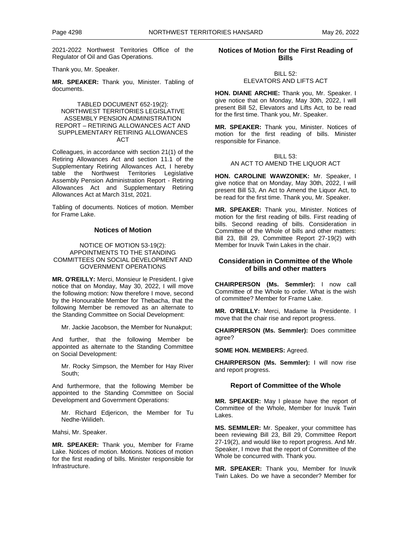2021-2022 Northwest Territories Office of the Regulator of Oil and Gas Operations.

Thank you, Mr. Speaker.

**MR. SPEAKER:** Thank you, Minister. Tabling of documents.

#### TABLED DOCUMENT 652-19(2): NORTHWEST TERRITORIES LEGISLATIVE ASSEMBLY PENSION ADMINISTRATION REPORT – RETIRING ALLOWANCES ACT AND SUPPLEMENTARY RETIRING ALLOWANCES ACT

Colleagues, in accordance with section 21(1) of the Retiring Allowances Act and section 11.1 of the Supplementary Retiring Allowances Act, I hereby table the Northwest Territories Legislative Assembly Pension Administration Report - Retiring Allowances Act and Supplementary Retiring Allowances Act at March 31st, 2021.

Tabling of documents. Notices of motion. Member for Frame Lake.

## **Notices of Motion**

#### NOTICE OF MOTION 53-19(2): APPOINTMENTS TO THE STANDING COMMITTEES ON SOCIAL DEVELOPMENT AND GOVERNMENT OPERATIONS

**MR. O'REILLY:** Merci, Monsieur le President. I give notice that on Monday, May 30, 2022, I will move the following motion: Now therefore I move, second by the Honourable Member for Thebacha, that the following Member be removed as an alternate to the Standing Committee on Social Development:

Mr. Jackie Jacobson, the Member for Nunakput;

And further, that the following Member be appointed as alternate to the Standing Committee on Social Development:

Mr. Rocky Simpson, the Member for Hay River South;

And furthermore, that the following Member be appointed to the Standing Committee on Social Development and Government Operations:

Mr. Richard Edjericon, the Member for Tu Nedhe-Wiilideh.

Mahsi, Mr. Speaker.

**MR. SPEAKER:** Thank you, Member for Frame Lake. Notices of motion. Motions. Notices of motion for the first reading of bills. Minister responsible for Infrastructure.

### **Notices of Motion for the First Reading of Bills**

BILL 52: ELEVATORS AND LIFTS ACT

**HON. DIANE ARCHIE:** Thank you, Mr. Speaker. I give notice that on Monday, May 30th, 2022, I will present Bill 52, Elevators and Lifts Act, to be read for the first time. Thank you, Mr. Speaker.

**MR. SPEAKER:** Thank you, Minister. Notices of motion for the first reading of bills. Minister responsible for Finance.

#### BILL 53: AN ACT TO AMEND THE LIQUOR ACT

**HON. CAROLINE WAWZONEK:** Mr. Speaker, I give notice that on Monday, May 30th, 2022, I will present Bill 53, An Act to Amend the Liquor Act, to be read for the first time. Thank you, Mr. Speaker.

**MR. SPEAKER:** Thank you, Minister. Notices of motion for the first reading of bills. First reading of bills. Second reading of bills. Consideration in Committee of the Whole of bills and other matters: Bill 23, Bill 29, Committee Report 27-19(2) with Member for Inuvik Twin Lakes in the chair.

## **Consideration in Committee of the Whole of bills and other matters**

**CHAIRPERSON (Ms. Semmler):** I now call Committee of the Whole to order. What is the wish of committee? Member for Frame Lake.

**MR. O'REILLY:** Merci, Madame la Presidente. I move that the chair rise and report progress.

**CHAIRPERSON (Ms. Semmler):** Does committee agree?

**SOME HON. MEMBERS:** Agreed.

**CHAIRPERSON (Ms. Semmler):** I will now rise and report progress.

## **Report of Committee of the Whole**

**MR. SPEAKER:** May I please have the report of Committee of the Whole, Member for Inuvik Twin Lakes.

**MS. SEMMLER:** Mr. Speaker, your committee has been reviewing Bill 23, Bill 29, Committee Report 27-19(2), and would like to report progress. And Mr. Speaker, I move that the report of Committee of the Whole be concurred with. Thank you.

**MR. SPEAKER:** Thank you, Member for Inuvik Twin Lakes. Do we have a seconder? Member for